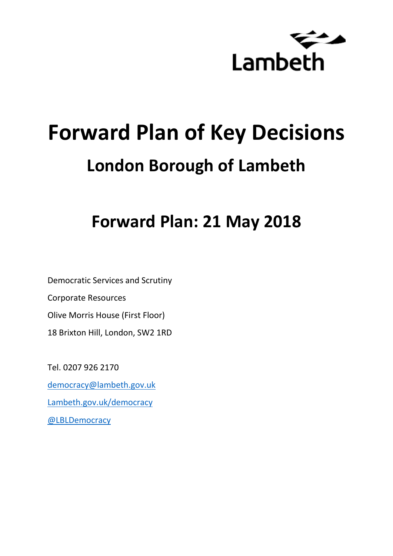

# **Forward Plan of Key Decisions London Borough of Lambeth**

## **Forward Plan: 21 May 2018**

Democratic Services and Scrutiny Corporate Resources Olive Morris House (First Floor) 18 Brixton Hill, London, SW2 1RD

Tel. 0207 926 2170 [democracy@lambeth.gov.uk](mailto:democracy@lambeth.gov.uk) [Lambeth.gov.uk/democracy](https://www.lambeth.gov.uk/elections-and-council/meetings-minutes-and-agendas/getting-involved-in-decision-making-guide) [@LBLDemocracy](https://twitter.com/LBLDemocracy?lang=en)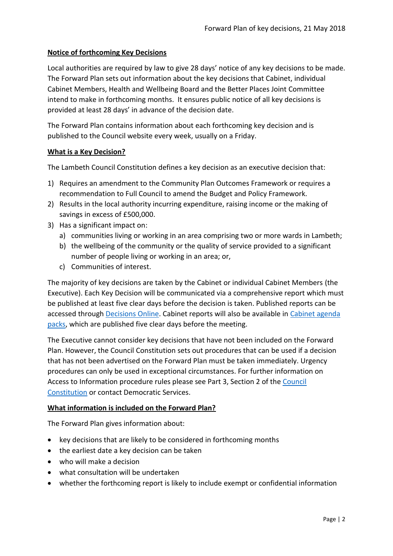#### **Notice of forthcoming Key Decisions**

Local authorities are required by law to give 28 days' notice of any key decisions to be made. The Forward Plan sets out information about the key decisions that Cabinet, individual Cabinet Members, Health and Wellbeing Board and the Better Places Joint Committee intend to make in forthcoming months. It ensures public notice of all key decisions is provided at least 28 days' in advance of the decision date.

The Forward Plan contains information about each forthcoming key decision and is published to the Council website every week, usually on a Friday.

#### **What is a Key Decision?**

The Lambeth Council Constitution defines a key decision as an executive decision that:

- 1) Requires an amendment to the Community Plan Outcomes Framework or requires a recommendation to Full Council to amend the Budget and Policy Framework.
- 2) Results in the local authority incurring expenditure, raising income or the making of savings in excess of £500,000.
- 3) Has a significant impact on:
	- a) communities living or working in an area comprising two or more wards in Lambeth;
	- b) the wellbeing of the community or the quality of service provided to a significant number of people living or working in an area; or,
	- c) Communities of interest.

The majority of key decisions are taken by the Cabinet or individual Cabinet Members (the Executive). Each Key Decision will be communicated via a comprehensive report which must be published at least five clear days before the decision is taken. Published reports can be accessed through [Decisions Online.](http://moderngov.lambeth.gov.uk/mgDelegatedDecisions.aspx?bcr=1&DM=0&DS=2&K=0&DR=&V=0) Cabinet reports will also be available in [Cabinet agenda](https://moderngov.lambeth.gov.uk/ieListMeetings.aspx?CommitteeId=225)  [packs,](https://moderngov.lambeth.gov.uk/ieListMeetings.aspx?CommitteeId=225) which are published five clear days before the meeting.

The Executive cannot consider key decisions that have not been included on the Forward Plan. However, the Council Constitution sets out procedures that can be used if a decision that has not been advertised on the Forward Plan must be taken immediately. Urgency procedures can only be used in exceptional circumstances. For further information on Access to Information procedure rules please see Part 3, Section 2 of the [Council](http://moderngov.lambeth.gov.uk/ieListMeetings.aspx?CId=738&info=1&MD=Constitution)  [Constitution](http://moderngov.lambeth.gov.uk/ieListMeetings.aspx?CId=738&info=1&MD=Constitution) or contact Democratic Services.

#### **What information is included on the Forward Plan?**

The Forward Plan gives information about:

- key decisions that are likely to be considered in forthcoming months
- the earliest date a key decision can be taken
- who will make a decision
- what consultation will be undertaken
- whether the forthcoming report is likely to include exempt or confidential information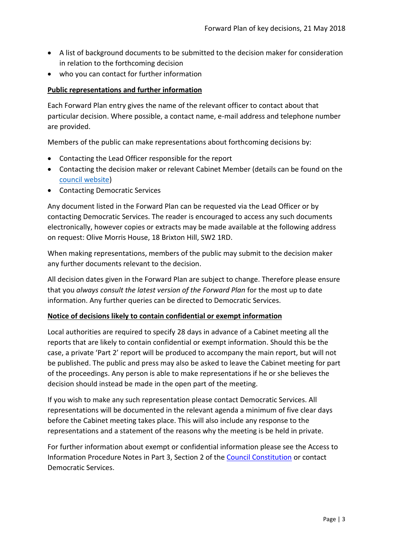- A list of background documents to be submitted to the decision maker for consideration in relation to the forthcoming decision
- who you can contact for further information

#### **Public representations and further information**

Each Forward Plan entry gives the name of the relevant officer to contact about that particular decision. Where possible, a contact name, e-mail address and telephone number are provided.

Members of the public can make representations about forthcoming decisions by:

- Contacting the Lead Officer responsible for the report
- Contacting the decision maker or relevant Cabinet Member (details can be found on the [council website\)](http://moderngov.lambeth.gov.uk/mgMemberIndex.aspx?bcr=1)
- Contacting Democratic Services

Any document listed in the Forward Plan can be requested via the Lead Officer or by contacting Democratic Services. The reader is encouraged to access any such documents electronically, however copies or extracts may be made available at the following address on request: Olive Morris House, 18 Brixton Hill, SW2 1RD.

When making representations, members of the public may submit to the decision maker any further documents relevant to the decision.

All decision dates given in the Forward Plan are subject to change. Therefore please ensure that you *always consult the latest version of the Forward Plan* for the most up to date information. Any further queries can be directed to Democratic Services.

#### **Notice of decisions likely to contain confidential or exempt information**

Local authorities are required to specify 28 days in advance of a Cabinet meeting all the reports that are likely to contain confidential or exempt information. Should this be the case, a private 'Part 2' report will be produced to accompany the main report, but will not be published. The public and press may also be asked to leave the Cabinet meeting for part of the proceedings. Any person is able to make representations if he or she believes the decision should instead be made in the open part of the meeting.

If you wish to make any such representation please contact Democratic Services. All representations will be documented in the relevant agenda a minimum of five clear days before the Cabinet meeting takes place. This will also include any response to the representations and a statement of the reasons why the meeting is be held in private.

For further information about exempt or confidential information please see the Access to Information Procedure Notes in Part 3, Section 2 of the [Council Constitution](http://www.lambeth.gov.uk/sites/default/files/ec-Council-Constitution-2014-15-approved-with-changes-November-2014.pdf) or contact Democratic Services.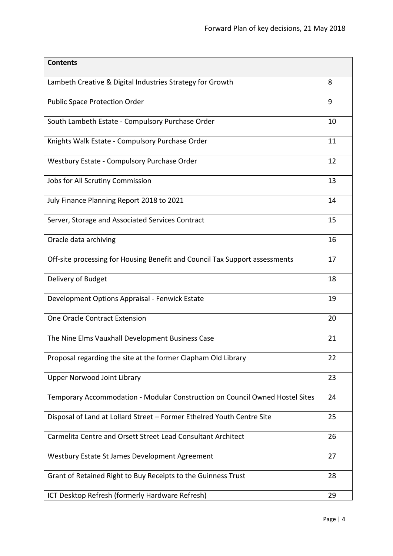| <b>Contents</b>                                                              |    |
|------------------------------------------------------------------------------|----|
| Lambeth Creative & Digital Industries Strategy for Growth                    | 8  |
| <b>Public Space Protection Order</b>                                         | 9  |
| South Lambeth Estate - Compulsory Purchase Order                             | 10 |
| Knights Walk Estate - Compulsory Purchase Order                              | 11 |
| Westbury Estate - Compulsory Purchase Order                                  | 12 |
| Jobs for All Scrutiny Commission                                             | 13 |
| July Finance Planning Report 2018 to 2021                                    | 14 |
| Server, Storage and Associated Services Contract                             | 15 |
| Oracle data archiving                                                        | 16 |
| Off-site processing for Housing Benefit and Council Tax Support assessments  | 17 |
| Delivery of Budget                                                           | 18 |
| Development Options Appraisal - Fenwick Estate                               | 19 |
| One Oracle Contract Extension                                                | 20 |
| The Nine Elms Vauxhall Development Business Case                             | 21 |
| Proposal regarding the site at the former Clapham Old Library                | 22 |
| <b>Upper Norwood Joint Library</b>                                           | 23 |
| Temporary Accommodation - Modular Construction on Council Owned Hostel Sites | 24 |
| Disposal of Land at Lollard Street - Former Ethelred Youth Centre Site       | 25 |
| Carmelita Centre and Orsett Street Lead Consultant Architect                 | 26 |
| Westbury Estate St James Development Agreement                               | 27 |
| Grant of Retained Right to Buy Receipts to the Guinness Trust                | 28 |
| ICT Desktop Refresh (formerly Hardware Refresh)                              | 29 |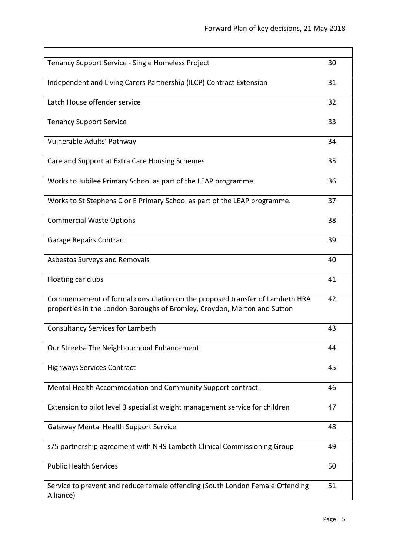| Tenancy Support Service - Single Homeless Project                                                                                                       | 30 |
|---------------------------------------------------------------------------------------------------------------------------------------------------------|----|
| Independent and Living Carers Partnership (ILCP) Contract Extension                                                                                     | 31 |
| Latch House offender service                                                                                                                            | 32 |
| <b>Tenancy Support Service</b>                                                                                                                          | 33 |
| Vulnerable Adults' Pathway                                                                                                                              | 34 |
| Care and Support at Extra Care Housing Schemes                                                                                                          | 35 |
| Works to Jubilee Primary School as part of the LEAP programme                                                                                           | 36 |
| Works to St Stephens C or E Primary School as part of the LEAP programme.                                                                               | 37 |
| <b>Commercial Waste Options</b>                                                                                                                         | 38 |
| <b>Garage Repairs Contract</b>                                                                                                                          | 39 |
| Asbestos Surveys and Removals                                                                                                                           | 40 |
| Floating car clubs                                                                                                                                      | 41 |
| Commencement of formal consultation on the proposed transfer of Lambeth HRA<br>properties in the London Boroughs of Bromley, Croydon, Merton and Sutton | 42 |
| <b>Consultancy Services for Lambeth</b>                                                                                                                 | 43 |
| Our Streets-The Neighbourhood Enhancement                                                                                                               | 44 |
| <b>Highways Services Contract</b>                                                                                                                       | 45 |
| Mental Health Accommodation and Community Support contract.                                                                                             | 46 |
| Extension to pilot level 3 specialist weight management service for children                                                                            | 47 |
| Gateway Mental Health Support Service                                                                                                                   | 48 |
| s75 partnership agreement with NHS Lambeth Clinical Commissioning Group                                                                                 | 49 |
| <b>Public Health Services</b>                                                                                                                           | 50 |
| Service to prevent and reduce female offending (South London Female Offending<br>Alliance)                                                              | 51 |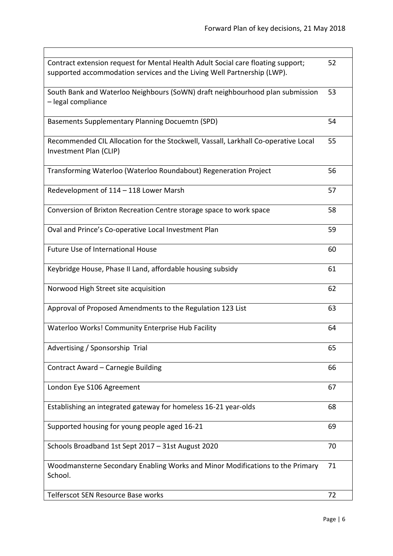| Contract extension request for Mental Health Adult Social care floating support;<br>supported accommodation services and the Living Well Partnership (LWP). | 52 |
|-------------------------------------------------------------------------------------------------------------------------------------------------------------|----|
| South Bank and Waterloo Neighbours (SoWN) draft neighbourhood plan submission<br>- legal compliance                                                         | 53 |
| <b>Basements Supplementary Planning Docuemtn (SPD)</b>                                                                                                      | 54 |
| Recommended CIL Allocation for the Stockwell, Vassall, Larkhall Co-operative Local<br>Investment Plan (CLIP)                                                | 55 |
| Transforming Waterloo (Waterloo Roundabout) Regeneration Project                                                                                            | 56 |
| Redevelopment of 114 - 118 Lower Marsh                                                                                                                      | 57 |
| Conversion of Brixton Recreation Centre storage space to work space                                                                                         | 58 |
| Oval and Prince's Co-operative Local Investment Plan                                                                                                        | 59 |
| <b>Future Use of International House</b>                                                                                                                    | 60 |
| Keybridge House, Phase II Land, affordable housing subsidy                                                                                                  | 61 |
| Norwood High Street site acquisition                                                                                                                        | 62 |
| Approval of Proposed Amendments to the Regulation 123 List                                                                                                  | 63 |
| Waterloo Works! Community Enterprise Hub Facility                                                                                                           | 64 |
| Advertising / Sponsorship Trial                                                                                                                             | 65 |
| Contract Award - Carnegie Building                                                                                                                          | 66 |
| London Eye S106 Agreement                                                                                                                                   | 67 |
| Establishing an integrated gateway for homeless 16-21 year-olds                                                                                             | 68 |
| Supported housing for young people aged 16-21                                                                                                               | 69 |
| Schools Broadband 1st Sept 2017 - 31st August 2020                                                                                                          | 70 |
| Woodmansterne Secondary Enabling Works and Minor Modifications to the Primary<br>School.                                                                    | 71 |
| Telferscot SEN Resource Base works                                                                                                                          | 72 |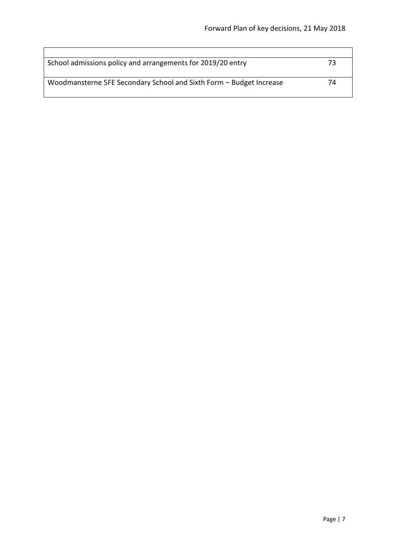| School admissions policy and arrangements for 2019/20 entry         | 73 |
|---------------------------------------------------------------------|----|
| Woodmansterne 5FE Secondary School and Sixth Form - Budget Increase | 74 |

 $\overline{\phantom{a}}$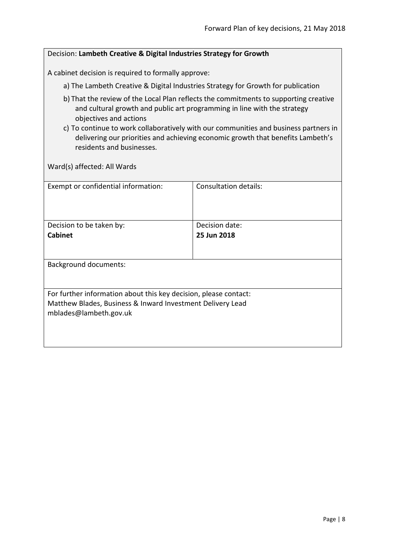<span id="page-7-0"></span>

| Decision: Lambeth Creative & Digital Industries Strategy for Growth                                                                                                                                                                                                                                                                                                                                |                               |  |
|----------------------------------------------------------------------------------------------------------------------------------------------------------------------------------------------------------------------------------------------------------------------------------------------------------------------------------------------------------------------------------------------------|-------------------------------|--|
| A cabinet decision is required to formally approve:                                                                                                                                                                                                                                                                                                                                                |                               |  |
| a) The Lambeth Creative & Digital Industries Strategy for Growth for publication                                                                                                                                                                                                                                                                                                                   |                               |  |
| b) That the review of the Local Plan reflects the commitments to supporting creative<br>and cultural growth and public art programming in line with the strategy<br>objectives and actions<br>c) To continue to work collaboratively with our communities and business partners in<br>delivering our priorities and achieving economic growth that benefits Lambeth's<br>residents and businesses. |                               |  |
| Ward(s) affected: All Wards                                                                                                                                                                                                                                                                                                                                                                        |                               |  |
| Exempt or confidential information:                                                                                                                                                                                                                                                                                                                                                                | <b>Consultation details:</b>  |  |
| Decision to be taken by:<br><b>Cabinet</b>                                                                                                                                                                                                                                                                                                                                                         | Decision date:<br>25 Jun 2018 |  |
| <b>Background documents:</b>                                                                                                                                                                                                                                                                                                                                                                       |                               |  |
| For further information about this key decision, please contact:<br>Matthew Blades, Business & Inward Investment Delivery Lead<br>mblades@lambeth.gov.uk                                                                                                                                                                                                                                           |                               |  |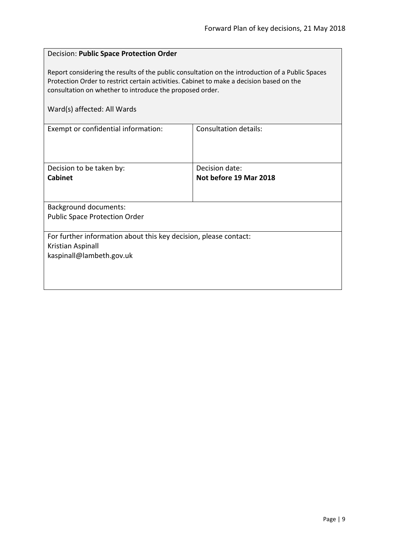#### <span id="page-8-0"></span>Decision: **Public Space Protection Order**

Report considering the results of the public consultation on the introduction of a Public Spaces Protection Order to restrict certain activities. Cabinet to make a decision based on the consultation on whether to introduce the proposed order.

| Exempt or confidential information:                                                                               | Consultation details:  |  |
|-------------------------------------------------------------------------------------------------------------------|------------------------|--|
| Decision to be taken by:                                                                                          | Decision date:         |  |
| <b>Cabinet</b>                                                                                                    | Not before 19 Mar 2018 |  |
|                                                                                                                   |                        |  |
| <b>Background documents:</b>                                                                                      |                        |  |
| <b>Public Space Protection Order</b>                                                                              |                        |  |
|                                                                                                                   |                        |  |
| For further information about this key decision, please contact:<br>Kristian Aspinall<br>kaspinall@lambeth.gov.uk |                        |  |
|                                                                                                                   |                        |  |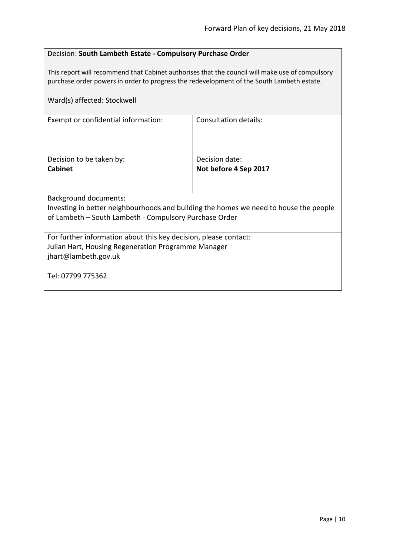#### <span id="page-9-0"></span>Decision: **South Lambeth Estate - Compulsory Purchase Order**

This report will recommend that Cabinet authorises that the council will make use of compulsory purchase order powers in order to progress the redevelopment of the South Lambeth estate.

| Ward(s) affected: Stockwell                                                           |                       |  |
|---------------------------------------------------------------------------------------|-----------------------|--|
| Exempt or confidential information:                                                   | Consultation details: |  |
| Decision to be taken by:                                                              | Decision date:        |  |
| <b>Cabinet</b>                                                                        | Not before 4 Sep 2017 |  |
|                                                                                       |                       |  |
| <b>Background documents:</b>                                                          |                       |  |
| Investing in better neighbourhoods and building the homes we need to house the people |                       |  |
| of Lambeth – South Lambeth - Compulsory Purchase Order                                |                       |  |
| For further information about this key decision, please contact:                      |                       |  |
| Julian Hart, Housing Regeneration Programme Manager                                   |                       |  |
| jhart@lambeth.gov.uk                                                                  |                       |  |
| Tel: 07799 775362                                                                     |                       |  |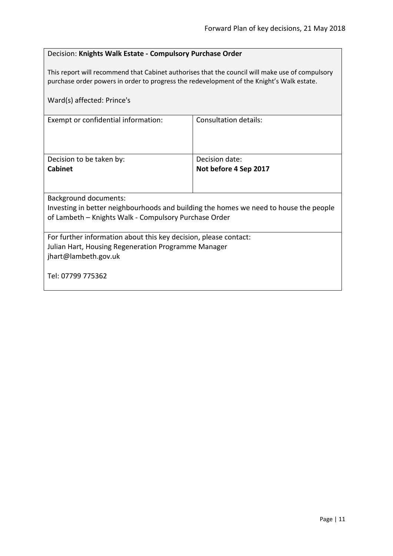#### <span id="page-10-0"></span>Decision: **Knights Walk Estate - Compulsory Purchase Order**

This report will recommend that Cabinet authorises that the council will make use of compulsory purchase order powers in order to progress the redevelopment of the Knight's Walk estate.

| Ward(s) affected: Prince's                                                                                                                                              |                       |  |
|-------------------------------------------------------------------------------------------------------------------------------------------------------------------------|-----------------------|--|
| Exempt or confidential information:                                                                                                                                     | Consultation details: |  |
| Decision to be taken by:                                                                                                                                                | Decision date:        |  |
| <b>Cabinet</b>                                                                                                                                                          | Not before 4 Sep 2017 |  |
| Background documents:<br>Investing in better neighbourhoods and building the homes we need to house the people<br>of Lambeth - Knights Walk - Compulsory Purchase Order |                       |  |
| For further information about this key decision, please contact:<br>Julian Hart, Housing Regeneration Programme Manager<br>jhart@lambeth.gov.uk                         |                       |  |
| Tel: 07799 775362                                                                                                                                                       |                       |  |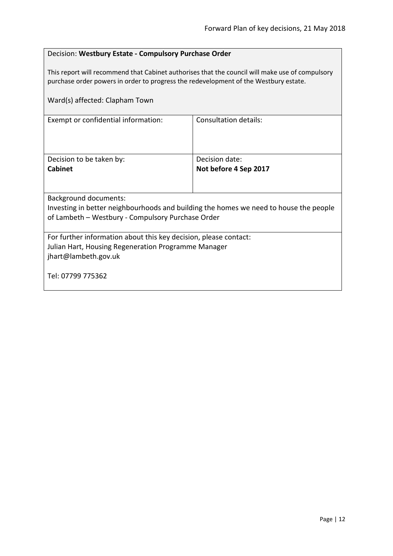#### <span id="page-11-0"></span>Decision: **Westbury Estate - Compulsory Purchase Order**

This report will recommend that Cabinet authorises that the council will make use of compulsory purchase order powers in order to progress the redevelopment of the Westbury estate.

| Ward(s) affected: Clapham Town                                                        |                       |
|---------------------------------------------------------------------------------------|-----------------------|
| Exempt or confidential information:                                                   | Consultation details: |
| Decision to be taken by:                                                              | Decision date:        |
| <b>Cabinet</b>                                                                        | Not before 4 Sep 2017 |
| <b>Background documents:</b>                                                          |                       |
| Investing in better neighbourhoods and building the homes we need to house the people |                       |
| of Lambeth - Westbury - Compulsory Purchase Order                                     |                       |
|                                                                                       |                       |
| For further information about this key decision, please contact:                      |                       |
| Julian Hart, Housing Regeneration Programme Manager                                   |                       |
| jhart@lambeth.gov.uk                                                                  |                       |
| Tel: 07799 775362                                                                     |                       |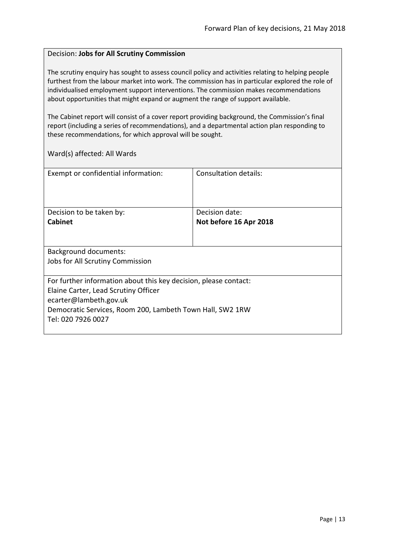#### <span id="page-12-0"></span>Decision: **Jobs for All Scrutiny Commission**

The scrutiny enquiry has sought to assess council policy and activities relating to helping people furthest from the labour market into work. The commission has in particular explored the role of individualised employment support interventions. The commission makes recommendations about opportunities that might expand or augment the range of support available.

The Cabinet report will consist of a cover report providing background, the Commission's final report (including a series of recommendations), and a departmental action plan responding to these recommendations, for which approval will be sought.

| Exempt or confidential information:                              | Consultation details:  |
|------------------------------------------------------------------|------------------------|
| Decision to be taken by:                                         | Decision date:         |
| <b>Cabinet</b>                                                   | Not before 16 Apr 2018 |
|                                                                  |                        |
| <b>Background documents:</b>                                     |                        |
| Jobs for All Scrutiny Commission                                 |                        |
| For further information about this key decision, please contact: |                        |
| Elaine Carter, Lead Scrutiny Officer                             |                        |
| ecarter@lambeth.gov.uk                                           |                        |
| Democratic Services, Room 200, Lambeth Town Hall, SW2 1RW        |                        |
| Tel: 020 7926 0027                                               |                        |
|                                                                  |                        |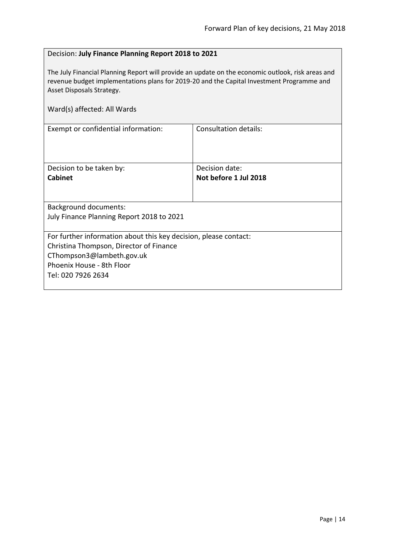#### <span id="page-13-0"></span>Decision: **July Finance Planning Report 2018 to 2021**

The July Financial Planning Report will provide an update on the economic outlook, risk areas and revenue budget implementations plans for 2019-20 and the Capital Investment Programme and Asset Disposals Strategy.

| Ward(s) affected: All Wards                                      |                       |  |
|------------------------------------------------------------------|-----------------------|--|
| Exempt or confidential information:                              | Consultation details: |  |
|                                                                  |                       |  |
| Decision to be taken by:                                         | Decision date:        |  |
| <b>Cabinet</b>                                                   | Not before 1 Jul 2018 |  |
|                                                                  |                       |  |
| Background documents:                                            |                       |  |
| July Finance Planning Report 2018 to 2021                        |                       |  |
|                                                                  |                       |  |
| For further information about this key decision, please contact: |                       |  |
| Christina Thompson, Director of Finance                          |                       |  |
| CThompson3@lambeth.gov.uk                                        |                       |  |
| Phoenix House - 8th Floor                                        |                       |  |
| Tel: 020 7926 2634                                               |                       |  |
|                                                                  |                       |  |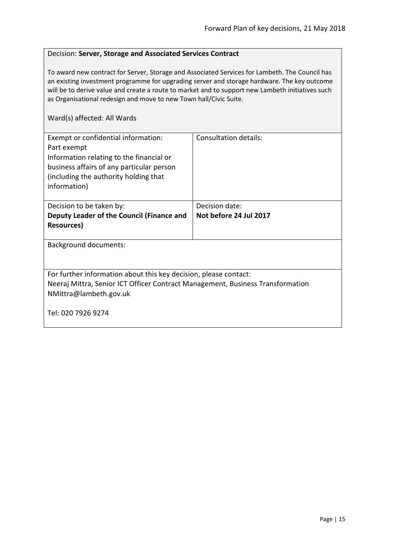#### <span id="page-14-0"></span>Decision: **Server, Storage and Associated Services Contract**

To award new contract for Server, Storage and Associated Services for Lambeth. The Council has an existing investment programme for upgrading server and storage hardware. The key outcome will be to derive value and create a route to market and to support new Lambeth initiatives such as Organisational redesign and move to new Town hall/Civic Suite.

| Exempt or confidential information:<br>Part exempt<br>Information relating to the financial or<br>business affairs of any particular person<br>(including the authority holding that<br>information) | Consultation details:  |
|------------------------------------------------------------------------------------------------------------------------------------------------------------------------------------------------------|------------------------|
| Decision to be taken by:                                                                                                                                                                             | Decision date:         |
| Deputy Leader of the Council (Finance and                                                                                                                                                            | Not before 24 Jul 2017 |
| <b>Resources</b> )                                                                                                                                                                                   |                        |
| <b>Background documents:</b>                                                                                                                                                                         |                        |
| For further information about this key decision, please contact:<br>Neeraj Mittra, Senior ICT Officer Contract Management, Business Transformation<br>NMittra@lambeth.gov.uk                         |                        |
| Tel: 020 7926 9274                                                                                                                                                                                   |                        |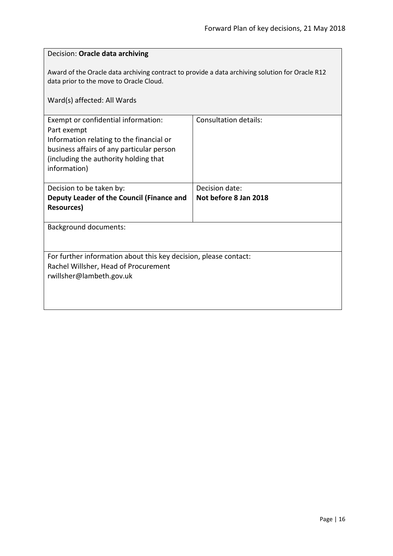<span id="page-15-0"></span>

| Decision: Oracle data archiving                                                                                                                                                                      |                       |  |
|------------------------------------------------------------------------------------------------------------------------------------------------------------------------------------------------------|-----------------------|--|
| Award of the Oracle data archiving contract to provide a data archiving solution for Oracle R12<br>data prior to the move to Oracle Cloud.<br>Ward(s) affected: All Wards                            |                       |  |
| Exempt or confidential information:<br>Part exempt<br>Information relating to the financial or<br>business affairs of any particular person<br>(including the authority holding that<br>information) | Consultation details: |  |
| Decision to be taken by:                                                                                                                                                                             | Decision date:        |  |
| Deputy Leader of the Council (Finance and<br><b>Resources)</b>                                                                                                                                       | Not before 8 Jan 2018 |  |
|                                                                                                                                                                                                      |                       |  |
| <b>Background documents:</b>                                                                                                                                                                         |                       |  |
|                                                                                                                                                                                                      |                       |  |
| For further information about this key decision, please contact:                                                                                                                                     |                       |  |
| Rachel Willsher, Head of Procurement                                                                                                                                                                 |                       |  |
| rwillsher@lambeth.gov.uk                                                                                                                                                                             |                       |  |
|                                                                                                                                                                                                      |                       |  |
|                                                                                                                                                                                                      |                       |  |
|                                                                                                                                                                                                      |                       |  |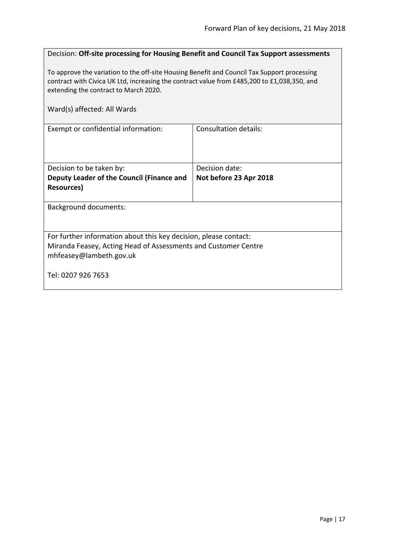<span id="page-16-0"></span>

| Decision: Off-site processing for Housing Benefit and Council Tax Support assessments                                                                                                                                               |                        |  |
|-------------------------------------------------------------------------------------------------------------------------------------------------------------------------------------------------------------------------------------|------------------------|--|
| To approve the variation to the off-site Housing Benefit and Council Tax Support processing<br>contract with Civica UK Ltd, increasing the contract value from £485,200 to £1,038,350, and<br>extending the contract to March 2020. |                        |  |
| Ward(s) affected: All Wards                                                                                                                                                                                                         |                        |  |
| Exempt or confidential information:                                                                                                                                                                                                 | Consultation details:  |  |
| Decision to be taken by:                                                                                                                                                                                                            | Decision date:         |  |
| Deputy Leader of the Council (Finance and                                                                                                                                                                                           | Not before 23 Apr 2018 |  |
| <b>Resources)</b>                                                                                                                                                                                                                   |                        |  |
| <b>Background documents:</b>                                                                                                                                                                                                        |                        |  |
| For further information about this key decision, please contact:                                                                                                                                                                    |                        |  |
| Miranda Feasey, Acting Head of Assessments and Customer Centre                                                                                                                                                                      |                        |  |
| mhfeasey@lambeth.gov.uk                                                                                                                                                                                                             |                        |  |
| Tel: 0207 926 7653                                                                                                                                                                                                                  |                        |  |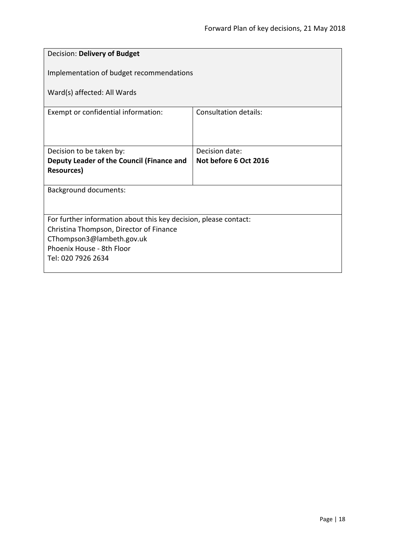<span id="page-17-0"></span>

| Decision: Delivery of Budget                                     |                              |  |
|------------------------------------------------------------------|------------------------------|--|
| Implementation of budget recommendations                         |                              |  |
| Ward(s) affected: All Wards                                      |                              |  |
| Exempt or confidential information:                              | <b>Consultation details:</b> |  |
|                                                                  |                              |  |
| Decision to be taken by:                                         | Decision date:               |  |
| Deputy Leader of the Council (Finance and<br><b>Resources</b> )  | Not before 6 Oct 2016        |  |
|                                                                  |                              |  |
| <b>Background documents:</b>                                     |                              |  |
|                                                                  |                              |  |
| For further information about this key decision, please contact: |                              |  |
| Christina Thompson, Director of Finance                          |                              |  |
| CThompson3@lambeth.gov.uk<br>Phoenix House - 8th Floor           |                              |  |
| Tel: 020 7926 2634                                               |                              |  |
|                                                                  |                              |  |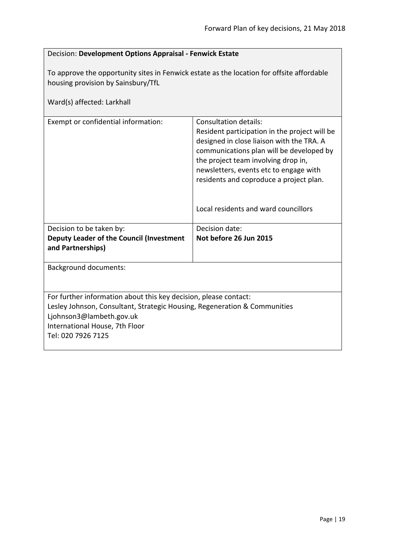#### <span id="page-18-0"></span>Decision: **Development Options Appraisal - Fenwick Estate**

To approve the opportunity sites in Fenwick estate as the location for offsite affordable housing provision by Sainsbury/TfL

| Ward(s) affected: Larkhall                                                                                                                                                                                                        |                                                                                                                                                                                                                                                                                                                                     |
|-----------------------------------------------------------------------------------------------------------------------------------------------------------------------------------------------------------------------------------|-------------------------------------------------------------------------------------------------------------------------------------------------------------------------------------------------------------------------------------------------------------------------------------------------------------------------------------|
| Exempt or confidential information:                                                                                                                                                                                               | Consultation details:<br>Resident participation in the project will be<br>designed in close liaison with the TRA. A<br>communications plan will be developed by<br>the project team involving drop in,<br>newsletters, events etc to engage with<br>residents and coproduce a project plan.<br>Local residents and ward councillors |
| Decision to be taken by:                                                                                                                                                                                                          | Decision date:                                                                                                                                                                                                                                                                                                                      |
| Deputy Leader of the Council (Investment<br>and Partnerships)                                                                                                                                                                     | Not before 26 Jun 2015                                                                                                                                                                                                                                                                                                              |
| <b>Background documents:</b>                                                                                                                                                                                                      |                                                                                                                                                                                                                                                                                                                                     |
| For further information about this key decision, please contact:<br>Lesley Johnson, Consultant, Strategic Housing, Regeneration & Communities<br>Ljohnson3@lambeth.gov.uk<br>International House, 7th Floor<br>Tel: 020 7926 7125 |                                                                                                                                                                                                                                                                                                                                     |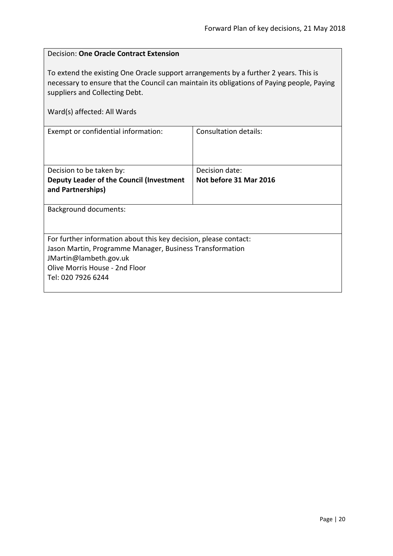$\overline{\phantom{0}}$ 

<span id="page-19-0"></span>

| <b>Decision: One Oracle Contract Extension</b>                                                                                                                                                                                                      |                              |  |
|-----------------------------------------------------------------------------------------------------------------------------------------------------------------------------------------------------------------------------------------------------|------------------------------|--|
| To extend the existing One Oracle support arrangements by a further 2 years. This is<br>necessary to ensure that the Council can maintain its obligations of Paying people, Paying<br>suppliers and Collecting Debt.<br>Ward(s) affected: All Wards |                              |  |
| Exempt or confidential information:                                                                                                                                                                                                                 | <b>Consultation details:</b> |  |
| Decision to be taken by:                                                                                                                                                                                                                            | Decision date:               |  |
| Deputy Leader of the Council (Investment<br>and Partnerships)                                                                                                                                                                                       | Not before 31 Mar 2016       |  |
| Background documents:                                                                                                                                                                                                                               |                              |  |
| For further information about this key decision, please contact:<br>Jason Martin, Programme Manager, Business Transformation<br>JMartin@lambeth.gov.uk<br>Olive Morris House - 2nd Floor<br>Tel: 020 7926 6244                                      |                              |  |

r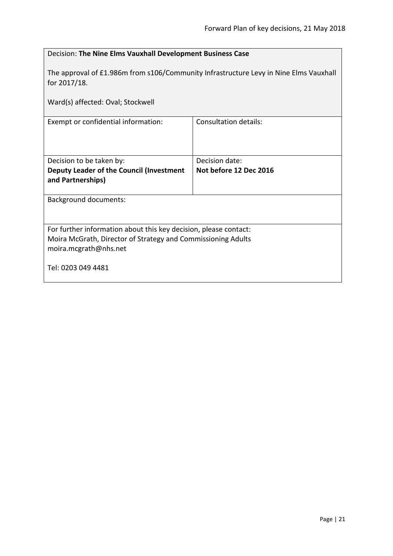<span id="page-20-0"></span>

| Decision: The Nine Elms Vauxhall Development Business Case                                                                                                |                        |  |
|-----------------------------------------------------------------------------------------------------------------------------------------------------------|------------------------|--|
| The approval of £1.986m from s106/Community Infrastructure Levy in Nine Elms Vauxhall<br>for 2017/18.                                                     |                        |  |
| Ward(s) affected: Oval; Stockwell                                                                                                                         |                        |  |
| Exempt or confidential information:                                                                                                                       | Consultation details:  |  |
| Decision to be taken by:                                                                                                                                  | Decision date:         |  |
| Deputy Leader of the Council (Investment<br>and Partnerships)                                                                                             | Not before 12 Dec 2016 |  |
| <b>Background documents:</b>                                                                                                                              |                        |  |
| For further information about this key decision, please contact:<br>Moira McGrath, Director of Strategy and Commissioning Adults<br>moira.mcgrath@nhs.net |                        |  |
| Tel: 0203 049 4481                                                                                                                                        |                        |  |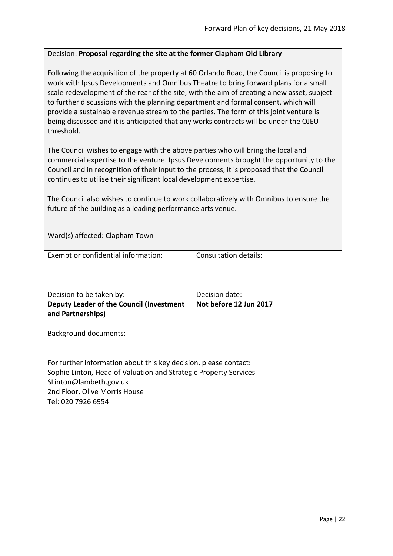#### <span id="page-21-0"></span>Decision: **Proposal regarding the site at the former Clapham Old Library**

Following the acquisition of the property at 60 Orlando Road, the Council is proposing to work with Ipsus Developments and Omnibus Theatre to bring forward plans for a small scale redevelopment of the rear of the site, with the aim of creating a new asset, subject to further discussions with the planning department and formal consent, which will provide a sustainable revenue stream to the parties. The form of this joint venture is being discussed and it is anticipated that any works contracts will be under the OJEU threshold.

The Council wishes to engage with the above parties who will bring the local and commercial expertise to the venture. Ipsus Developments brought the opportunity to the Council and in recognition of their input to the process, it is proposed that the Council continues to utilise their significant local development expertise.

The Council also wishes to continue to work collaboratively with Omnibus to ensure the future of the building as a leading performance arts venue.

Ward(s) affected: Clapham Town

| Exempt or confidential information:                                                                                                                                                                                   | Consultation details:  |
|-----------------------------------------------------------------------------------------------------------------------------------------------------------------------------------------------------------------------|------------------------|
| Decision to be taken by:                                                                                                                                                                                              | Decision date:         |
| Deputy Leader of the Council (Investment<br>and Partnerships)                                                                                                                                                         | Not before 12 Jun 2017 |
| <b>Background documents:</b>                                                                                                                                                                                          |                        |
| For further information about this key decision, please contact:<br>Sophie Linton, Head of Valuation and Strategic Property Services<br>SLinton@lambeth.gov.uk<br>2nd Floor, Olive Morris House<br>Tel: 020 7926 6954 |                        |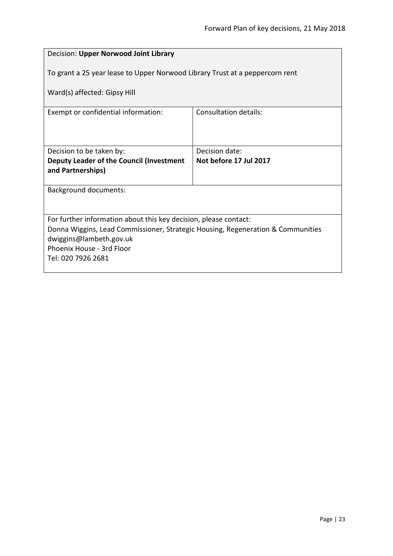<span id="page-22-0"></span>

| Decision: Upper Norwood Joint Library                                           |                        |  |
|---------------------------------------------------------------------------------|------------------------|--|
| To grant a 25 year lease to Upper Norwood Library Trust at a peppercorn rent    |                        |  |
| Ward(s) affected: Gipsy Hill                                                    |                        |  |
| Exempt or confidential information:                                             | Consultation details:  |  |
|                                                                                 |                        |  |
| Decision to be taken by:                                                        | Decision date:         |  |
| Deputy Leader of the Council (Investment                                        | Not before 17 Jul 2017 |  |
| and Partnerships)                                                               |                        |  |
| Background documents:                                                           |                        |  |
|                                                                                 |                        |  |
| For further information about this key decision, please contact:                |                        |  |
| Donna Wiggins, Lead Commissioner, Strategic Housing, Regeneration & Communities |                        |  |
| dwiggins@lambeth.gov.uk<br>Phoenix House - 3rd Floor                            |                        |  |
| Tel: 020 7926 2681                                                              |                        |  |
|                                                                                 |                        |  |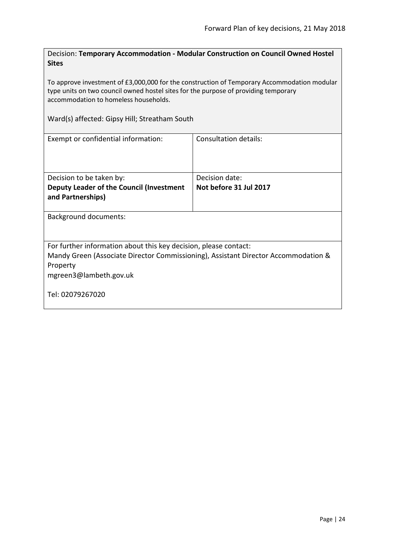<span id="page-23-0"></span>Decision: **Temporary Accommodation - Modular Construction on Council Owned Hostel Sites**

To approve investment of £3,000,000 for the construction of Temporary Accommodation modular type units on two council owned hostel sites for the purpose of providing temporary accommodation to homeless households.

Ward(s) affected: Gipsy Hill; Streatham South

| Exempt or confidential information:                                                | Consultation details:  |
|------------------------------------------------------------------------------------|------------------------|
| Decision to be taken by:                                                           | Decision date:         |
| Deputy Leader of the Council (Investment                                           | Not before 31 Jul 2017 |
| and Partnerships)                                                                  |                        |
|                                                                                    |                        |
| Background documents:                                                              |                        |
| For further information about this key decision, please contact:                   |                        |
| Mandy Green (Associate Director Commissioning), Assistant Director Accommodation & |                        |
| Property                                                                           |                        |
| mgreen3@lambeth.gov.uk                                                             |                        |
| Tel: 02079267020                                                                   |                        |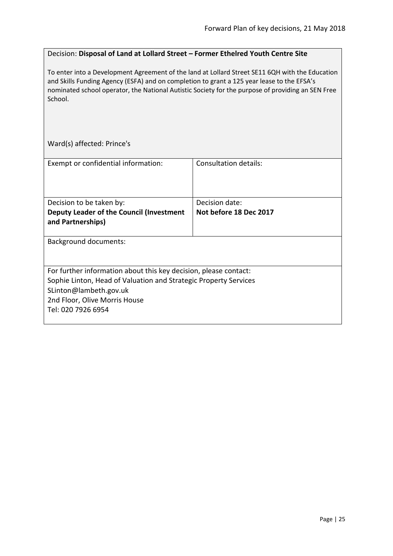### <span id="page-24-0"></span>Decision: **Disposal of Land at Lollard Street – Former Ethelred Youth Centre Site**

To enter into a Development Agreement of the land at Lollard Street SE11 6QH with the Education and Skills Funding Agency (ESFA) and on completion to grant a 125 year lease to the EFSA's nominated school operator, the National Autistic Society for the purpose of providing an SEN Free School.

Ward(s) affected: Prince's

| Exempt or confidential information:                                                                                                                                                                                   | Consultation details:  |
|-----------------------------------------------------------------------------------------------------------------------------------------------------------------------------------------------------------------------|------------------------|
|                                                                                                                                                                                                                       |                        |
| Decision to be taken by:                                                                                                                                                                                              | Decision date:         |
| Deputy Leader of the Council (Investment<br>and Partnerships)                                                                                                                                                         | Not before 18 Dec 2017 |
| <b>Background documents:</b>                                                                                                                                                                                          |                        |
| For further information about this key decision, please contact:<br>Sophie Linton, Head of Valuation and Strategic Property Services<br>SLinton@lambeth.gov.uk<br>2nd Floor, Olive Morris House<br>Tel: 020 7926 6954 |                        |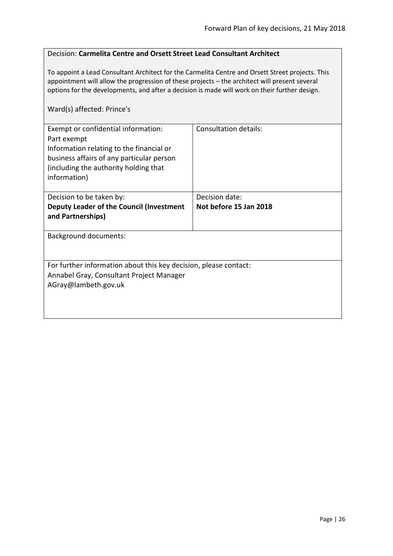#### <span id="page-25-0"></span>Decision: **Carmelita Centre and Orsett Street Lead Consultant Architect**

To appoint a Lead Consultant Architect for the Carmelita Centre and Orsett Street projects. This appointment will allow the progression of these projects – the architect will present several options for the developments, and after a decision is made will work on their further design.

#### Ward(s) affected: Prince's

| Exempt or confidential information:<br>Part exempt<br>Information relating to the financial or<br>business affairs of any particular person<br>(including the authority holding that<br>information) | Consultation details:  |
|------------------------------------------------------------------------------------------------------------------------------------------------------------------------------------------------------|------------------------|
| Decision to be taken by:                                                                                                                                                                             | Decision date:         |
| Deputy Leader of the Council (Investment<br>and Partnerships)                                                                                                                                        | Not before 15 Jan 2018 |
| <b>Background documents:</b>                                                                                                                                                                         |                        |
| For further information about this key decision, please contact:<br>Annabel Gray, Consultant Project Manager<br>AGray@lambeth.gov.uk                                                                 |                        |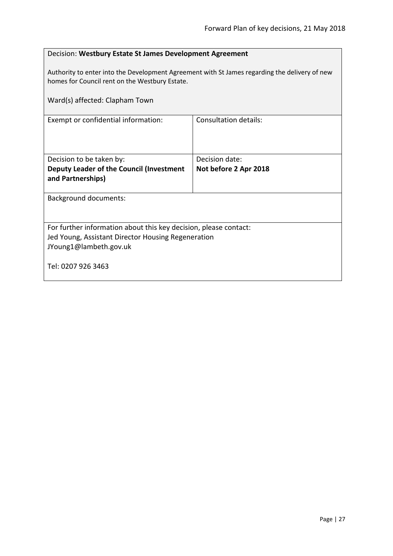<span id="page-26-0"></span>

| Decision: Westbury Estate St James Development Agreement                                                                                        |                              |  |
|-------------------------------------------------------------------------------------------------------------------------------------------------|------------------------------|--|
| Authority to enter into the Development Agreement with St James regarding the delivery of new<br>homes for Council rent on the Westbury Estate. |                              |  |
| Ward(s) affected: Clapham Town                                                                                                                  |                              |  |
| Exempt or confidential information:                                                                                                             | <b>Consultation details:</b> |  |
|                                                                                                                                                 |                              |  |
| Decision to be taken by:                                                                                                                        | Decision date:               |  |
| Deputy Leader of the Council (Investment<br>and Partnerships)                                                                                   | Not before 2 Apr 2018        |  |
| <b>Background documents:</b>                                                                                                                    |                              |  |
|                                                                                                                                                 |                              |  |
| For further information about this key decision, please contact:                                                                                |                              |  |
| Jed Young, Assistant Director Housing Regeneration                                                                                              |                              |  |
| JYoung1@lambeth.gov.uk                                                                                                                          |                              |  |
| Tel: 0207 926 3463                                                                                                                              |                              |  |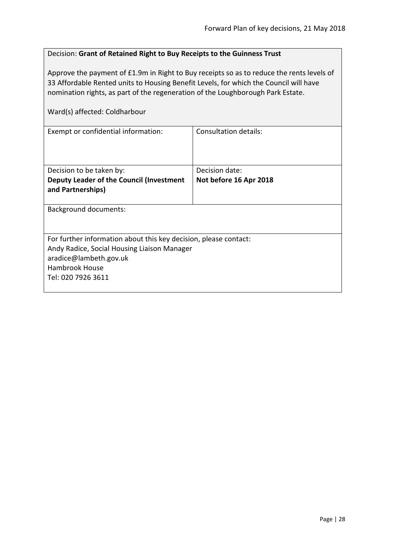<span id="page-27-0"></span>

| Decision: Grant of Retained Right to Buy Receipts to the Guinness Trust                                                                                                                                                                                                                                |                              |
|--------------------------------------------------------------------------------------------------------------------------------------------------------------------------------------------------------------------------------------------------------------------------------------------------------|------------------------------|
| Approve the payment of £1.9m in Right to Buy receipts so as to reduce the rents levels of<br>33 Affordable Rented units to Housing Benefit Levels, for which the Council will have<br>nomination rights, as part of the regeneration of the Loughborough Park Estate.<br>Ward(s) affected: Coldharbour |                              |
| Exempt or confidential information:                                                                                                                                                                                                                                                                    | <b>Consultation details:</b> |
|                                                                                                                                                                                                                                                                                                        |                              |
| Decision to be taken by:                                                                                                                                                                                                                                                                               | Decision date:               |
| Deputy Leader of the Council (Investment<br>and Partnerships)                                                                                                                                                                                                                                          | Not before 16 Apr 2018       |
| Background documents:                                                                                                                                                                                                                                                                                  |                              |
| For further information about this key decision, please contact:                                                                                                                                                                                                                                       |                              |
| Andy Radice, Social Housing Liaison Manager                                                                                                                                                                                                                                                            |                              |
| aradice@lambeth.gov.uk                                                                                                                                                                                                                                                                                 |                              |
| Hambrook House                                                                                                                                                                                                                                                                                         |                              |
| Tel: 020 7926 3611                                                                                                                                                                                                                                                                                     |                              |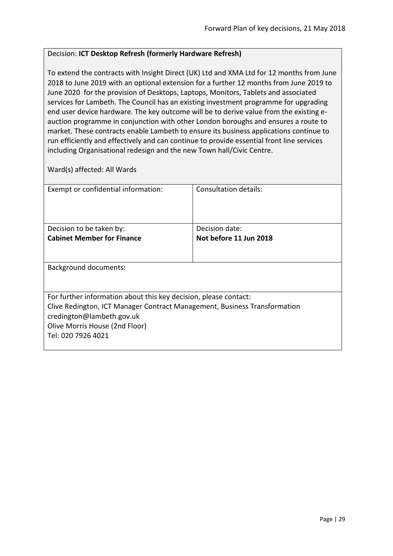#### <span id="page-28-0"></span>Decision: **ICT Desktop Refresh (formerly Hardware Refresh)**

To extend the contracts with Insight Direct (UK) Ltd and XMA Ltd for 12 months from June 2018 to June 2019 with an optional extension for a further 12 months from June 2019 to June 2020 for the provision of Desktops, Laptops, Monitors, Tablets and associated services for Lambeth. The Council has an existing investment programme for upgrading end user device hardware. The key outcome will be to derive value from the existing eauction programme in conjunction with other London boroughs and ensures a route to market. These contracts enable Lambeth to ensure its business applications continue to run efficiently and effectively and can continue to provide essential front line services including Organisational redesign and the new Town hall/Civic Centre.

| Exempt or confidential information:                                                                                                                                                                                                | Consultation details:  |
|------------------------------------------------------------------------------------------------------------------------------------------------------------------------------------------------------------------------------------|------------------------|
| Decision to be taken by:                                                                                                                                                                                                           | Decision date:         |
| <b>Cabinet Member for Finance</b>                                                                                                                                                                                                  | Not before 11 Jun 2018 |
|                                                                                                                                                                                                                                    |                        |
| <b>Background documents:</b>                                                                                                                                                                                                       |                        |
| For further information about this key decision, please contact:<br>Clive Redington, ICT Manager Contract Management, Business Transformation<br>credington@lambeth.gov.uk<br>Olive Morris House (2nd Floor)<br>Tel: 020 7926 4021 |                        |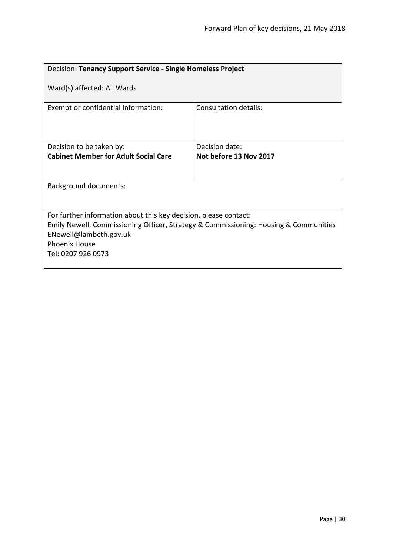<span id="page-29-0"></span>

| Decision: Tenancy Support Service - Single Homeless Project                                                                                                                                                                      |                        |  |
|----------------------------------------------------------------------------------------------------------------------------------------------------------------------------------------------------------------------------------|------------------------|--|
| Ward(s) affected: All Wards                                                                                                                                                                                                      |                        |  |
| Exempt or confidential information:                                                                                                                                                                                              | Consultation details:  |  |
| Decision to be taken by:                                                                                                                                                                                                         | Decision date:         |  |
| <b>Cabinet Member for Adult Social Care</b>                                                                                                                                                                                      | Not before 13 Nov 2017 |  |
|                                                                                                                                                                                                                                  |                        |  |
| <b>Background documents:</b>                                                                                                                                                                                                     |                        |  |
|                                                                                                                                                                                                                                  |                        |  |
| For further information about this key decision, please contact:<br>Emily Newell, Commissioning Officer, Strategy & Commissioning: Housing & Communities<br>ENewell@lambeth.gov.uk<br><b>Phoenix House</b><br>Tel: 0207 926 0973 |                        |  |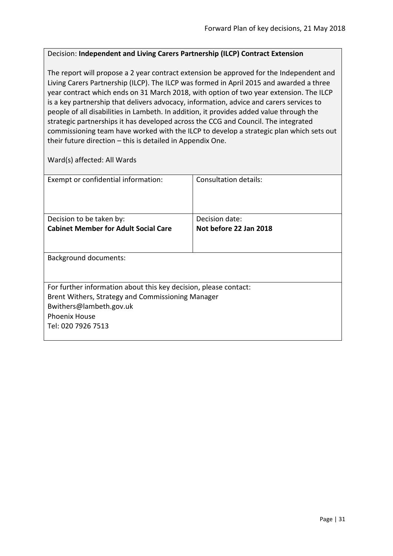#### <span id="page-30-0"></span>Decision: **Independent and Living Carers Partnership (ILCP) Contract Extension**

The report will propose a 2 year contract extension be approved for the Independent and Living Carers Partnership (ILCP). The ILCP was formed in April 2015 and awarded a three year contract which ends on 31 March 2018, with option of two year extension. The ILCP is a key partnership that delivers advocacy, information, advice and carers services to people of all disabilities in Lambeth. In addition, it provides added value through the strategic partnerships it has developed across the CCG and Council. The integrated commissioning team have worked with the ILCP to develop a strategic plan which sets out their future direction – this is detailed in Appendix One.

| Exempt or confidential information:                              | Consultation details:  |
|------------------------------------------------------------------|------------------------|
|                                                                  |                        |
|                                                                  |                        |
| Decision to be taken by:                                         | Decision date:         |
| <b>Cabinet Member for Adult Social Care</b>                      | Not before 22 Jan 2018 |
|                                                                  |                        |
|                                                                  |                        |
| <b>Background documents:</b>                                     |                        |
|                                                                  |                        |
|                                                                  |                        |
| For further information about this key decision, please contact: |                        |
| Brent Withers, Strategy and Commissioning Manager                |                        |
| Bwithers@lambeth.gov.uk                                          |                        |
| <b>Phoenix House</b>                                             |                        |
| Tel: 020 7926 7513                                               |                        |
|                                                                  |                        |
|                                                                  |                        |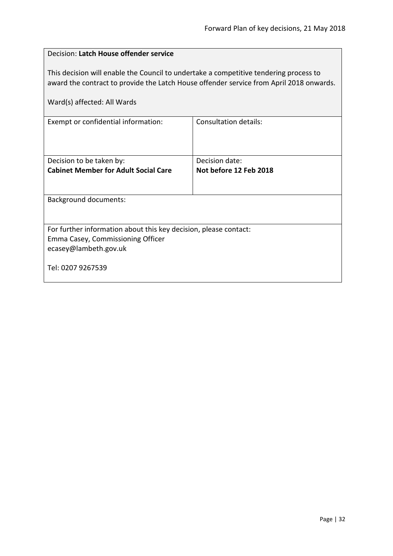<span id="page-31-0"></span>

| Decision: Latch House offender service                                                                                                                                           |                        |  |
|----------------------------------------------------------------------------------------------------------------------------------------------------------------------------------|------------------------|--|
| This decision will enable the Council to undertake a competitive tendering process to<br>award the contract to provide the Latch House offender service from April 2018 onwards. |                        |  |
| Ward(s) affected: All Wards                                                                                                                                                      |                        |  |
| Exempt or confidential information:                                                                                                                                              | Consultation details:  |  |
|                                                                                                                                                                                  |                        |  |
| Decision to be taken by:                                                                                                                                                         | Decision date:         |  |
| <b>Cabinet Member for Adult Social Care</b>                                                                                                                                      | Not before 12 Feb 2018 |  |
| <b>Background documents:</b>                                                                                                                                                     |                        |  |
| For further information about this key decision, please contact:<br>Emma Casey, Commissioning Officer<br>ecasey@lambeth.gov.uk                                                   |                        |  |
| Tel: 0207 9267539                                                                                                                                                                |                        |  |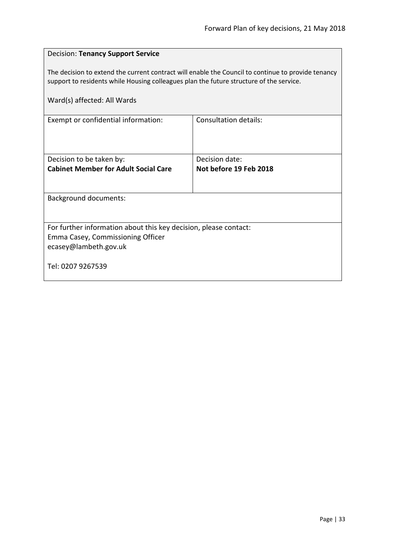<span id="page-32-0"></span>

| <b>Decision: Tenancy Support Service</b>                                                                                                                                                      |                        |  |
|-----------------------------------------------------------------------------------------------------------------------------------------------------------------------------------------------|------------------------|--|
| The decision to extend the current contract will enable the Council to continue to provide tenancy<br>support to residents while Housing colleagues plan the future structure of the service. |                        |  |
| Ward(s) affected: All Wards                                                                                                                                                                   |                        |  |
| Exempt or confidential information:                                                                                                                                                           | Consultation details:  |  |
|                                                                                                                                                                                               |                        |  |
| Decision to be taken by:                                                                                                                                                                      | Decision date:         |  |
| <b>Cabinet Member for Adult Social Care</b>                                                                                                                                                   | Not before 19 Feb 2018 |  |
| <b>Background documents:</b>                                                                                                                                                                  |                        |  |
|                                                                                                                                                                                               |                        |  |
| For further information about this key decision, please contact:                                                                                                                              |                        |  |
| Emma Casey, Commissioning Officer                                                                                                                                                             |                        |  |
| ecasey@lambeth.gov.uk                                                                                                                                                                         |                        |  |
| Tel: 0207 9267539                                                                                                                                                                             |                        |  |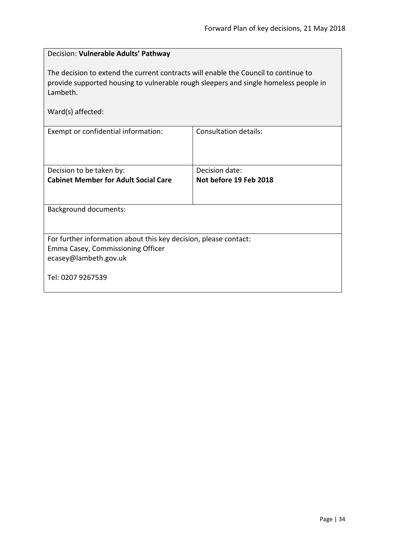<span id="page-33-0"></span>

| Decision: Vulnerable Adults' Pathway                                                                                                                                                    |                              |  |
|-----------------------------------------------------------------------------------------------------------------------------------------------------------------------------------------|------------------------------|--|
| The decision to extend the current contracts will enable the Council to continue to<br>provide supported housing to vulnerable rough sleepers and single homeless people in<br>Lambeth. |                              |  |
| Ward(s) affected:                                                                                                                                                                       |                              |  |
| Exempt or confidential information:                                                                                                                                                     | <b>Consultation details:</b> |  |
| Decision to be taken by:                                                                                                                                                                | Decision date:               |  |
| <b>Cabinet Member for Adult Social Care</b>                                                                                                                                             | Not before 19 Feb 2018       |  |
|                                                                                                                                                                                         |                              |  |
| <b>Background documents:</b>                                                                                                                                                            |                              |  |
|                                                                                                                                                                                         |                              |  |
| For further information about this key decision, please contact:                                                                                                                        |                              |  |
| Emma Casey, Commissioning Officer                                                                                                                                                       |                              |  |
| ecasey@lambeth.gov.uk                                                                                                                                                                   |                              |  |
| Tel: 0207 9267539                                                                                                                                                                       |                              |  |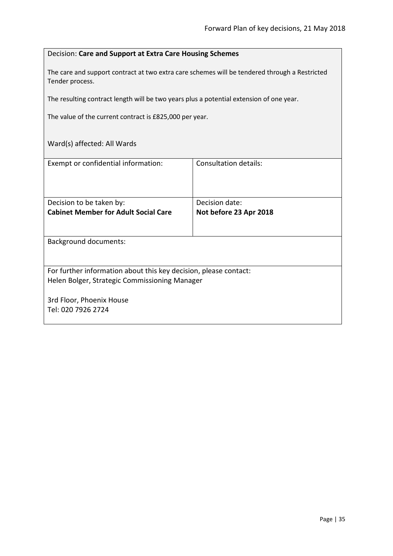#### <span id="page-34-0"></span>Decision: **Care and Support at Extra Care Housing Schemes**

The care and support contract at two extra care schemes will be tendered through a Restricted Tender process.

The resulting contract length will be two years plus a potential extension of one year.

The value of the current contract is £825,000 per year.

| Exempt or confidential information:                              | Consultation details:  |
|------------------------------------------------------------------|------------------------|
| Decision to be taken by:                                         | Decision date:         |
| <b>Cabinet Member for Adult Social Care</b>                      | Not before 23 Apr 2018 |
|                                                                  |                        |
| <b>Background documents:</b>                                     |                        |
| For further information about this key decision, please contact: |                        |
| Helen Bolger, Strategic Commissioning Manager                    |                        |
| 3rd Floor, Phoenix House                                         |                        |
| Tel: 020 7926 2724                                               |                        |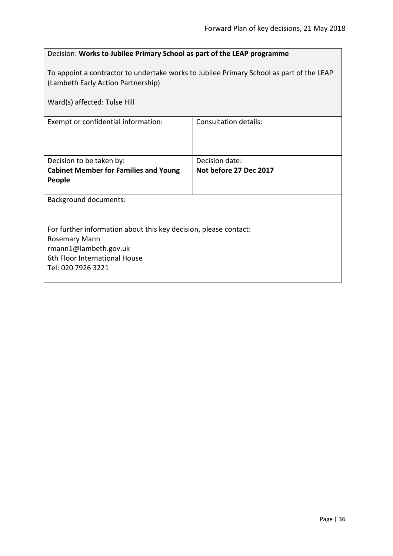<span id="page-35-0"></span>

| Decision: Works to Jubilee Primary School as part of the LEAP programme                                                                                        |                              |
|----------------------------------------------------------------------------------------------------------------------------------------------------------------|------------------------------|
| To appoint a contractor to undertake works to Jubilee Primary School as part of the LEAP<br>(Lambeth Early Action Partnership)<br>Ward(s) affected: Tulse Hill |                              |
|                                                                                                                                                                |                              |
| Exempt or confidential information:                                                                                                                            | <b>Consultation details:</b> |
|                                                                                                                                                                |                              |
|                                                                                                                                                                |                              |
| Decision to be taken by:                                                                                                                                       | Decision date:               |
| <b>Cabinet Member for Families and Young</b><br>People                                                                                                         | Not before 27 Dec 2017       |
| <b>Background documents:</b>                                                                                                                                   |                              |
|                                                                                                                                                                |                              |
| For further information about this key decision, please contact:                                                                                               |                              |
| Rosemary Mann                                                                                                                                                  |                              |
| rmann1@lambeth.gov.uk                                                                                                                                          |                              |
| 6th Floor International House<br>Tel: 020 7926 3221                                                                                                            |                              |
|                                                                                                                                                                |                              |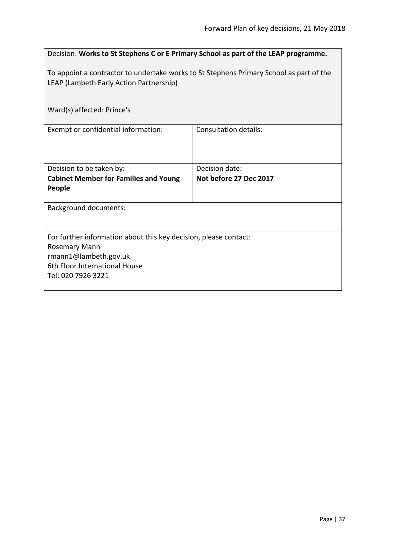| Decision: Works to St Stephens C or E Primary School as part of the LEAP programme.                                                |                              |  |
|------------------------------------------------------------------------------------------------------------------------------------|------------------------------|--|
| To appoint a contractor to undertake works to St Stephens Primary School as part of the<br>LEAP (Lambeth Early Action Partnership) |                              |  |
| Ward(s) affected: Prince's                                                                                                         |                              |  |
| Exempt or confidential information:                                                                                                | <b>Consultation details:</b> |  |
| Decision to be taken by:                                                                                                           | Decision date:               |  |
| <b>Cabinet Member for Families and Young</b><br>People                                                                             | Not before 27 Dec 2017       |  |
| <b>Background documents:</b>                                                                                                       |                              |  |
| For further information about this key decision, please contact:                                                                   |                              |  |
| Rosemary Mann                                                                                                                      |                              |  |
| rmann1@lambeth.gov.uk                                                                                                              |                              |  |
| 6th Floor International House                                                                                                      |                              |  |
| Tel: 020 7926 3221                                                                                                                 |                              |  |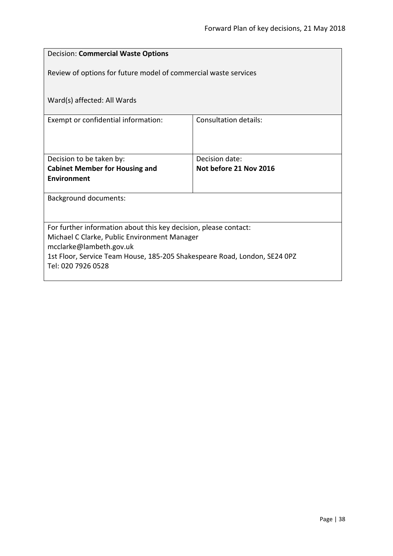| <b>Decision: Commercial Waste Options</b>                                 |                              |  |
|---------------------------------------------------------------------------|------------------------------|--|
| Review of options for future model of commercial waste services           |                              |  |
| Ward(s) affected: All Wards                                               |                              |  |
| Exempt or confidential information:                                       | <b>Consultation details:</b> |  |
|                                                                           |                              |  |
| Decision to be taken by:                                                  | Decision date:               |  |
| <b>Cabinet Member for Housing and</b>                                     | Not before 21 Nov 2016       |  |
| Environment                                                               |                              |  |
| <b>Background documents:</b>                                              |                              |  |
|                                                                           |                              |  |
| For further information about this key decision, please contact:          |                              |  |
| Michael C Clarke, Public Environment Manager<br>mcclarke@lambeth.gov.uk   |                              |  |
| 1st Floor, Service Team House, 185-205 Shakespeare Road, London, SE24 0PZ |                              |  |
| Tel: 020 7926 0528                                                        |                              |  |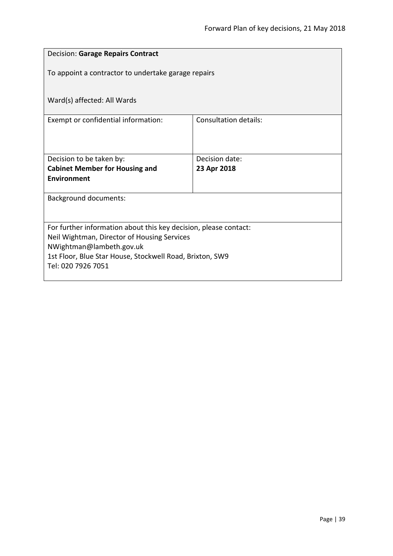| <b>Decision: Garage Repairs Contract</b>                                             |                              |  |
|--------------------------------------------------------------------------------------|------------------------------|--|
| To appoint a contractor to undertake garage repairs                                  |                              |  |
| Ward(s) affected: All Wards                                                          |                              |  |
| Exempt or confidential information:                                                  | <b>Consultation details:</b> |  |
|                                                                                      |                              |  |
| Decision to be taken by:                                                             | Decision date:               |  |
| <b>Cabinet Member for Housing and</b>                                                | 23 Apr 2018                  |  |
| <b>Environment</b>                                                                   |                              |  |
| <b>Background documents:</b>                                                         |                              |  |
|                                                                                      |                              |  |
| For further information about this key decision, please contact:                     |                              |  |
| Neil Wightman, Director of Housing Services                                          |                              |  |
| NWightman@lambeth.gov.uk<br>1st Floor, Blue Star House, Stockwell Road, Brixton, SW9 |                              |  |
| Tel: 020 7926 7051                                                                   |                              |  |
|                                                                                      |                              |  |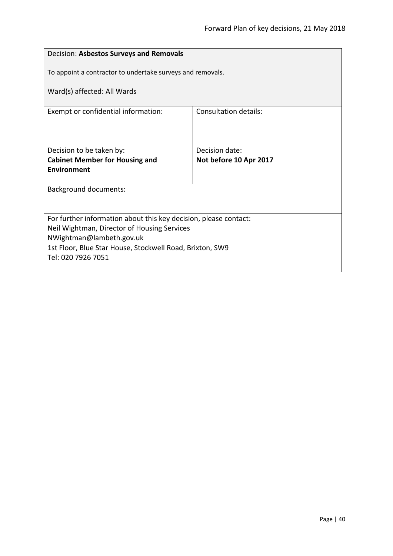| Decision: Asbestos Surveys and Removals                                              |                                                            |  |
|--------------------------------------------------------------------------------------|------------------------------------------------------------|--|
|                                                                                      | To appoint a contractor to undertake surveys and removals. |  |
| Ward(s) affected: All Wards                                                          |                                                            |  |
|                                                                                      |                                                            |  |
| Exempt or confidential information:                                                  | Consultation details:                                      |  |
|                                                                                      |                                                            |  |
|                                                                                      |                                                            |  |
| Decision to be taken by:                                                             | Decision date:                                             |  |
| <b>Cabinet Member for Housing and</b>                                                | Not before 10 Apr 2017                                     |  |
| Environment                                                                          |                                                            |  |
| <b>Background documents:</b>                                                         |                                                            |  |
|                                                                                      |                                                            |  |
|                                                                                      |                                                            |  |
| For further information about this key decision, please contact:                     |                                                            |  |
| Neil Wightman, Director of Housing Services                                          |                                                            |  |
| NWightman@lambeth.gov.uk<br>1st Floor, Blue Star House, Stockwell Road, Brixton, SW9 |                                                            |  |
| Tel: 020 7926 7051                                                                   |                                                            |  |
|                                                                                      |                                                            |  |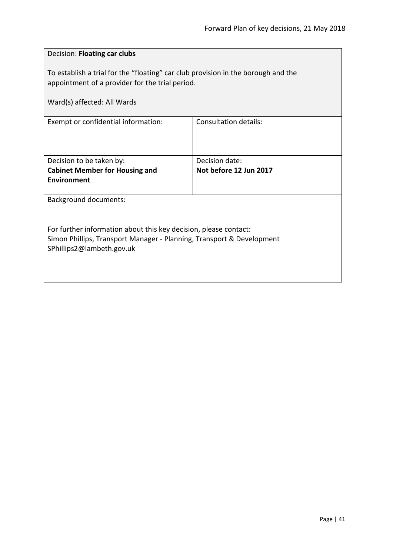| Decision: Floating car clubs                                                                                                                                           |                        |  |
|------------------------------------------------------------------------------------------------------------------------------------------------------------------------|------------------------|--|
| To establish a trial for the "floating" car club provision in the borough and the<br>appointment of a provider for the trial period.                                   |                        |  |
| Ward(s) affected: All Wards                                                                                                                                            |                        |  |
| Exempt or confidential information:                                                                                                                                    | Consultation details:  |  |
| Decision to be taken by:                                                                                                                                               | Decision date:         |  |
| <b>Cabinet Member for Housing and</b><br><b>Environment</b>                                                                                                            | Not before 12 Jun 2017 |  |
| <b>Background documents:</b>                                                                                                                                           |                        |  |
| For further information about this key decision, please contact:<br>Simon Phillips, Transport Manager - Planning, Transport & Development<br>SPhillips2@lambeth.gov.uk |                        |  |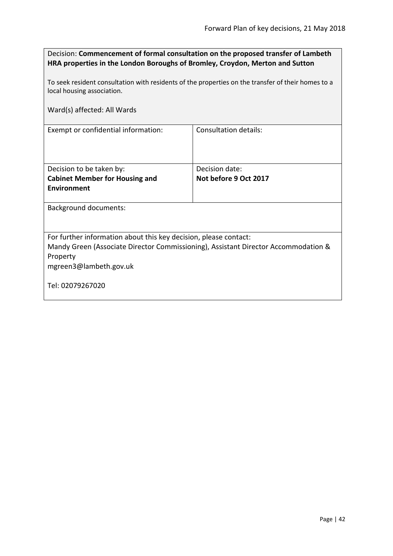| Decision: Commencement of formal consultation on the proposed transfer of Lambeth |
|-----------------------------------------------------------------------------------|
| HRA properties in the London Boroughs of Bromley, Croydon, Merton and Sutton      |

To seek resident consultation with residents of the properties on the transfer of their homes to a local housing association.

Ward(s) affected: All Wards

Exempt or confidential information: Consultation details:

| Decision to be taken by:              | Decision date:        |
|---------------------------------------|-----------------------|
| <b>Cabinet Member for Housing and</b> | Not before 9 Oct 2017 |
| Environment                           |                       |
|                                       |                       |

Background documents:

For further information about this key decision, please contact:

Mandy Green (Associate Director Commissioning), Assistant Director Accommodation & Property

mgreen3@lambeth.gov.uk

Tel: 02079267020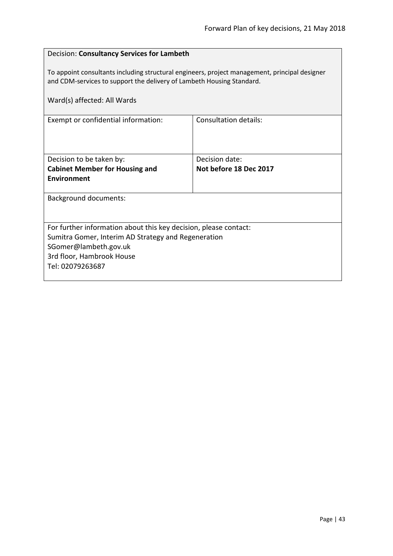# Decision: **Consultancy Services for Lambeth** To appoint consultants including structural engineers, project management, principal designer and CDM-services to support the delivery of Lambeth Housing Standard. Ward(s) affected: All Wards Exempt or confidential information: Consultation details: Decision to be taken by: **Cabinet Member for Housing and Environment** Decision date: **Not before 18 Dec 2017** Background documents: For further information about this key decision, please contact: Sumitra Gomer, Interim AD Strategy and Regeneration SGomer@lambeth.gov.uk 3rd floor, Hambrook House Tel: 02079263687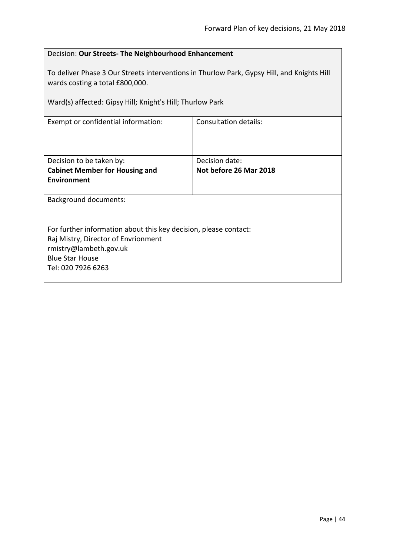| Decision: Our Streets- The Neighbourhood Enhancement                                                                          |                        |  |
|-------------------------------------------------------------------------------------------------------------------------------|------------------------|--|
| To deliver Phase 3 Our Streets interventions in Thurlow Park, Gypsy Hill, and Knights Hill<br>wards costing a total £800,000. |                        |  |
| Ward(s) affected: Gipsy Hill; Knight's Hill; Thurlow Park                                                                     |                        |  |
| <b>Consultation details:</b><br>Exempt or confidential information:                                                           |                        |  |
|                                                                                                                               |                        |  |
| Decision to be taken by:                                                                                                      | Decision date:         |  |
| <b>Cabinet Member for Housing and</b>                                                                                         | Not before 26 Mar 2018 |  |
| <b>Environment</b>                                                                                                            |                        |  |
| <b>Background documents:</b>                                                                                                  |                        |  |
|                                                                                                                               |                        |  |
| For further information about this key decision, please contact:                                                              |                        |  |
| Raj Mistry, Director of Envrionment                                                                                           |                        |  |
| rmistry@lambeth.gov.uk<br><b>Blue Star House</b>                                                                              |                        |  |
| Tel: 020 7926 6263                                                                                                            |                        |  |
|                                                                                                                               |                        |  |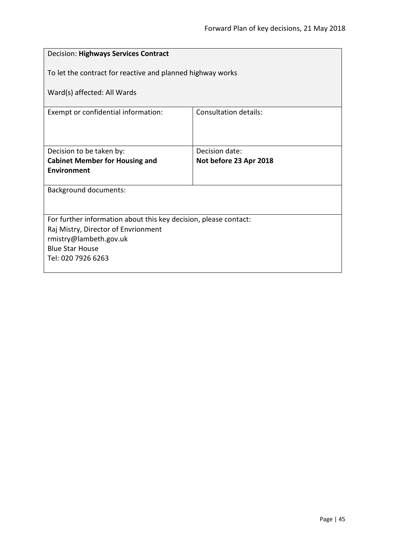| <b>Decision: Highways Services Contract</b>                      |                              |  |
|------------------------------------------------------------------|------------------------------|--|
| To let the contract for reactive and planned highway works       |                              |  |
| Ward(s) affected: All Wards                                      |                              |  |
| Exempt or confidential information:                              | <b>Consultation details:</b> |  |
|                                                                  |                              |  |
| Decision date:<br>Decision to be taken by:                       |                              |  |
| <b>Cabinet Member for Housing and</b>                            | Not before 23 Apr 2018       |  |
| <b>Environment</b>                                               |                              |  |
| <b>Background documents:</b>                                     |                              |  |
|                                                                  |                              |  |
| For further information about this key decision, please contact: |                              |  |
| Raj Mistry, Director of Envrionment                              |                              |  |
| rmistry@lambeth.gov.uk                                           |                              |  |
| <b>Blue Star House</b>                                           |                              |  |
| Tel: 020 7926 6263                                               |                              |  |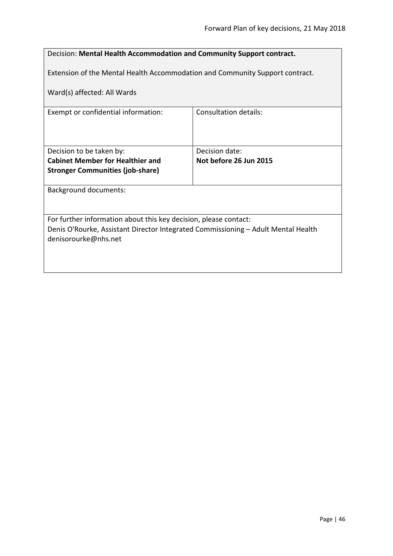| Decision: Mental Health Accommodation and Community Support contract.                                     |                        |  |
|-----------------------------------------------------------------------------------------------------------|------------------------|--|
| Extension of the Mental Health Accommodation and Community Support contract.                              |                        |  |
| Ward(s) affected: All Wards                                                                               |                        |  |
| Exempt or confidential information:                                                                       | Consultation details:  |  |
|                                                                                                           |                        |  |
| Decision to be taken by:                                                                                  | Decision date:         |  |
| <b>Cabinet Member for Healthier and</b>                                                                   | Not before 26 Jun 2015 |  |
| <b>Stronger Communities (job-share)</b>                                                                   |                        |  |
| <b>Background documents:</b>                                                                              |                        |  |
|                                                                                                           |                        |  |
| For further information about this key decision, please contact:                                          |                        |  |
| Denis O'Rourke, Assistant Director Integrated Commissioning - Adult Mental Health<br>denisorourke@nhs.net |                        |  |
|                                                                                                           |                        |  |
|                                                                                                           |                        |  |
|                                                                                                           |                        |  |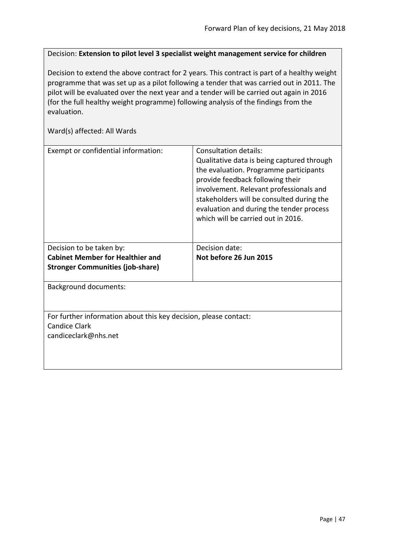Decision: **Extension to pilot level 3 specialist weight management service for children**

Decision to extend the above contract for 2 years. This contract is part of a healthy weight programme that was set up as a pilot following a tender that was carried out in 2011. The pilot will be evaluated over the next year and a tender will be carried out again in 2016 (for the full healthy weight programme) following analysis of the findings from the evaluation.

| Exempt or confidential information:                              | Consultation details:<br>Qualitative data is being captured through<br>the evaluation. Programme participants<br>provide feedback following their<br>involvement. Relevant professionals and<br>stakeholders will be consulted during the<br>evaluation and during the tender process<br>which will be carried out in 2016. |
|------------------------------------------------------------------|-----------------------------------------------------------------------------------------------------------------------------------------------------------------------------------------------------------------------------------------------------------------------------------------------------------------------------|
| Decision to be taken by:                                         | Decision date:                                                                                                                                                                                                                                                                                                              |
| <b>Cabinet Member for Healthier and</b>                          | Not before 26 Jun 2015                                                                                                                                                                                                                                                                                                      |
| <b>Stronger Communities (job-share)</b>                          |                                                                                                                                                                                                                                                                                                                             |
| <b>Background documents:</b>                                     |                                                                                                                                                                                                                                                                                                                             |
|                                                                  |                                                                                                                                                                                                                                                                                                                             |
| For further information about this key decision, please contact: |                                                                                                                                                                                                                                                                                                                             |
| <b>Candice Clark</b>                                             |                                                                                                                                                                                                                                                                                                                             |
| candiceclark@nhs.net                                             |                                                                                                                                                                                                                                                                                                                             |
|                                                                  |                                                                                                                                                                                                                                                                                                                             |
|                                                                  |                                                                                                                                                                                                                                                                                                                             |
|                                                                  |                                                                                                                                                                                                                                                                                                                             |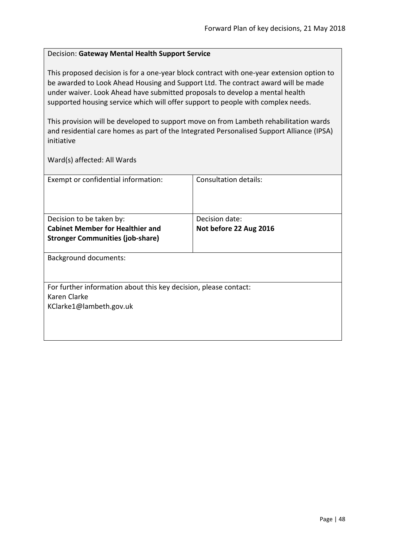### Decision: **Gateway Mental Health Support Service**

This proposed decision is for a one-year block contract with one-year extension option to be awarded to Look Ahead Housing and Support Ltd. The contract award will be made under waiver. Look Ahead have submitted proposals to develop a mental health supported housing service which will offer support to people with complex needs.

This provision will be developed to support move on from Lambeth rehabilitation wards and residential care homes as part of the Integrated Personalised Support Alliance (IPSA) initiative

| Exempt or confidential information:                              | Consultation details:  |
|------------------------------------------------------------------|------------------------|
|                                                                  |                        |
|                                                                  |                        |
|                                                                  |                        |
| Decision to be taken by:                                         | Decision date:         |
| <b>Cabinet Member for Healthier and</b>                          | Not before 22 Aug 2016 |
| <b>Stronger Communities (job-share)</b>                          |                        |
|                                                                  |                        |
| <b>Background documents:</b>                                     |                        |
|                                                                  |                        |
|                                                                  |                        |
| For further information about this key decision, please contact: |                        |
| Karen Clarke                                                     |                        |
| KClarke1@lambeth.gov.uk                                          |                        |
|                                                                  |                        |
|                                                                  |                        |
|                                                                  |                        |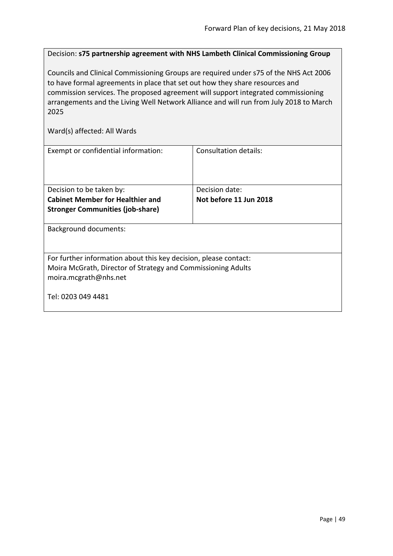Decision: **s75 partnership agreement with NHS Lambeth Clinical Commissioning Group**

Councils and Clinical Commissioning Groups are required under s75 of the NHS Act 2006 to have formal agreements in place that set out how they share resources and commission services. The proposed agreement will support integrated commissioning arrangements and the Living Well Network Alliance and will run from July 2018 to March 2025

| Exempt or confidential information:                              | Consultation details:  |
|------------------------------------------------------------------|------------------------|
| Decision to be taken by:                                         | Decision date:         |
| <b>Cabinet Member for Healthier and</b>                          | Not before 11 Jun 2018 |
| <b>Stronger Communities (job-share)</b>                          |                        |
| <b>Background documents:</b>                                     |                        |
| For further information about this key decision, please contact: |                        |
| Moira McGrath, Director of Strategy and Commissioning Adults     |                        |
| moira.mcgrath@nhs.net                                            |                        |
| Tel: 0203 049 4481                                               |                        |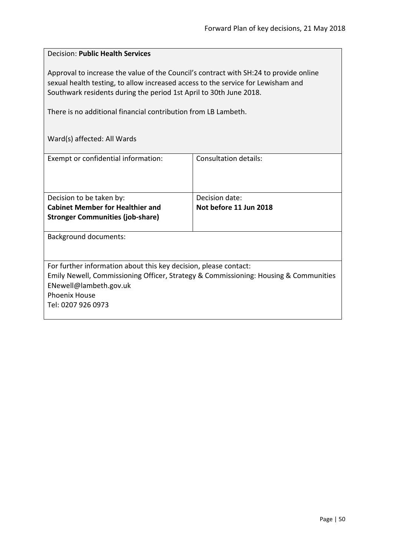# Decision: **Public Health Services**

Approval to increase the value of the Council's contract with SH:24 to provide online sexual health testing, to allow increased access to the service for Lewisham and Southwark residents during the period 1st April to 30th June 2018.

There is no additional financial contribution from LB Lambeth.

| Exempt or confidential information:                              | Consultation details:                                                                |
|------------------------------------------------------------------|--------------------------------------------------------------------------------------|
|                                                                  |                                                                                      |
|                                                                  |                                                                                      |
|                                                                  |                                                                                      |
|                                                                  |                                                                                      |
| Decision to be taken by:                                         | Decision date:                                                                       |
| <b>Cabinet Member for Healthier and</b>                          | Not before 11 Jun 2018                                                               |
| <b>Stronger Communities (job-share)</b>                          |                                                                                      |
|                                                                  |                                                                                      |
| <b>Background documents:</b>                                     |                                                                                      |
|                                                                  |                                                                                      |
|                                                                  |                                                                                      |
|                                                                  |                                                                                      |
| For further information about this key decision, please contact: |                                                                                      |
|                                                                  | Emily Newell, Commissioning Officer, Strategy & Commissioning: Housing & Communities |
| ENewell@lambeth.gov.uk                                           |                                                                                      |
|                                                                  |                                                                                      |
| <b>Phoenix House</b>                                             |                                                                                      |
| Tel: 0207 926 0973                                               |                                                                                      |
|                                                                  |                                                                                      |
|                                                                  |                                                                                      |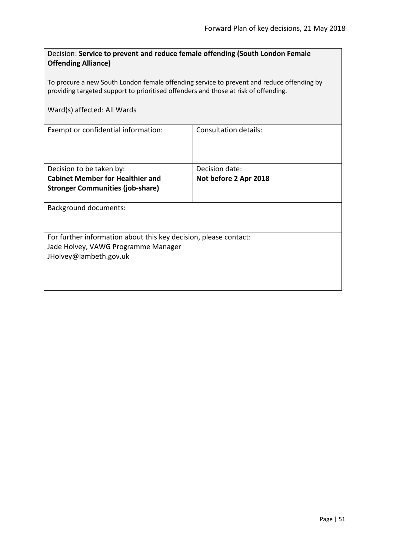| Decision: Service to prevent and reduce female offending (South London Female<br><b>Offending Alliance)</b>                                                                      |                       |  |
|----------------------------------------------------------------------------------------------------------------------------------------------------------------------------------|-----------------------|--|
| To procure a new South London female offending service to prevent and reduce offending by<br>providing targeted support to prioritised offenders and those at risk of offending. |                       |  |
| Ward(s) affected: All Wards                                                                                                                                                      |                       |  |
| Exempt or confidential information:                                                                                                                                              | Consultation details: |  |
| Decision to be taken by:                                                                                                                                                         | Decision date:        |  |
| <b>Cabinet Member for Healthier and</b>                                                                                                                                          | Not before 2 Apr 2018 |  |
| <b>Stronger Communities (job-share)</b>                                                                                                                                          |                       |  |
| <b>Background documents:</b>                                                                                                                                                     |                       |  |
| For further information about this key decision, please contact:<br>Jade Holvey, VAWG Programme Manager<br>JHolvey@lambeth.gov.uk                                                |                       |  |
|                                                                                                                                                                                  |                       |  |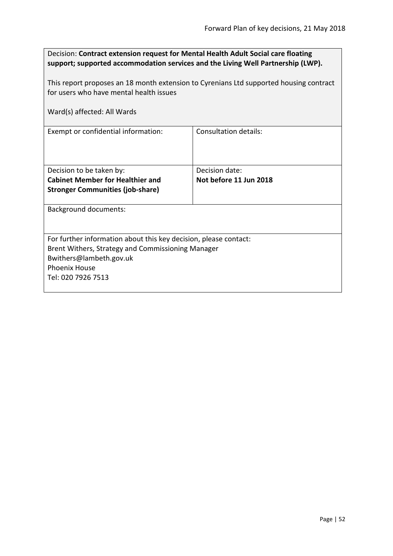| Decision: Contract extension request for Mental Health Adult Social care floating<br>support; supported accommodation services and the Living Well Partnership (LWP). |                        |  |
|-----------------------------------------------------------------------------------------------------------------------------------------------------------------------|------------------------|--|
| This report proposes an 18 month extension to Cyrenians Ltd supported housing contract                                                                                |                        |  |
| for users who have mental health issues                                                                                                                               |                        |  |
| Ward(s) affected: All Wards                                                                                                                                           |                        |  |
| Exempt or confidential information:                                                                                                                                   | Consultation details:  |  |
| Decision to be taken by:                                                                                                                                              | Decision date:         |  |
| <b>Cabinet Member for Healthier and</b>                                                                                                                               | Not before 11 Jun 2018 |  |
| <b>Stronger Communities (job-share)</b>                                                                                                                               |                        |  |
| <b>Background documents:</b>                                                                                                                                          |                        |  |
|                                                                                                                                                                       |                        |  |
| For further information about this key decision, please contact:                                                                                                      |                        |  |
| Brent Withers, Strategy and Commissioning Manager                                                                                                                     |                        |  |
| Bwithers@lambeth.gov.uk                                                                                                                                               |                        |  |
| <b>Phoenix House</b>                                                                                                                                                  |                        |  |
| Tel: 020 7926 7513                                                                                                                                                    |                        |  |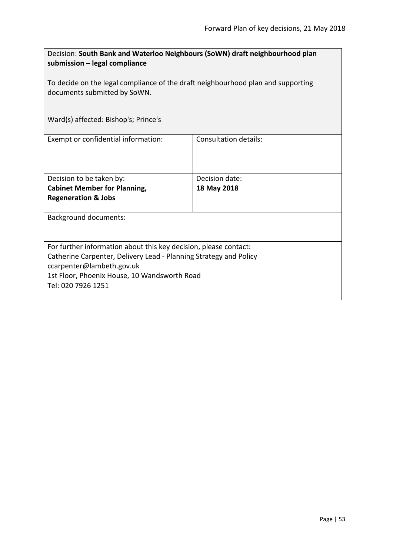| Decision: South Bank and Waterloo Neighbours (SoWN) draft neighbourhood plan<br>submission - legal compliance    |                       |  |
|------------------------------------------------------------------------------------------------------------------|-----------------------|--|
| To decide on the legal compliance of the draft neighbourhood plan and supporting<br>documents submitted by SoWN. |                       |  |
| Ward(s) affected: Bishop's; Prince's                                                                             |                       |  |
| Exempt or confidential information:                                                                              | Consultation details: |  |
| Decision to be taken by:                                                                                         | Decision date:        |  |
| <b>Cabinet Member for Planning,</b>                                                                              | 18 May 2018           |  |
| <b>Regeneration &amp; Jobs</b>                                                                                   |                       |  |
| <b>Background documents:</b>                                                                                     |                       |  |
| For further information about this key decision, please contact:                                                 |                       |  |
| Catherine Carpenter, Delivery Lead - Planning Strategy and Policy                                                |                       |  |
| ccarpenter@lambeth.gov.uk                                                                                        |                       |  |
| 1st Floor, Phoenix House, 10 Wandsworth Road<br>Tel: 020 7926 1251                                               |                       |  |
|                                                                                                                  |                       |  |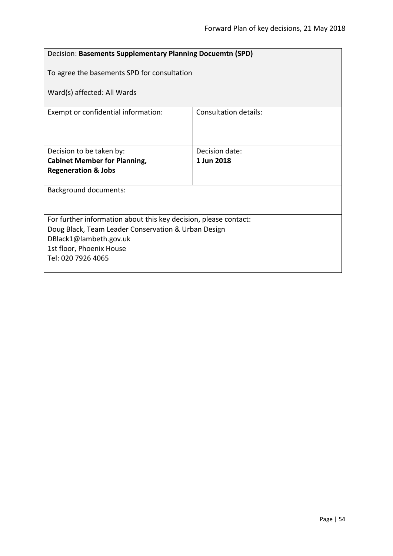| Decision: Basements Supplementary Planning Docuemtn (SPD)        |                              |  |
|------------------------------------------------------------------|------------------------------|--|
| To agree the basements SPD for consultation                      |                              |  |
| Ward(s) affected: All Wards                                      |                              |  |
| Exempt or confidential information:                              | <b>Consultation details:</b> |  |
|                                                                  |                              |  |
| Decision to be taken by:                                         | Decision date:               |  |
| <b>Cabinet Member for Planning,</b>                              | 1 Jun 2018                   |  |
| <b>Regeneration &amp; Jobs</b>                                   |                              |  |
| <b>Background documents:</b>                                     |                              |  |
|                                                                  |                              |  |
| For further information about this key decision, please contact: |                              |  |
| Doug Black, Team Leader Conservation & Urban Design              |                              |  |
| DBlack1@lambeth.gov.uk                                           |                              |  |
| 1st floor, Phoenix House                                         |                              |  |
| Tel: 020 7926 4065                                               |                              |  |
|                                                                  |                              |  |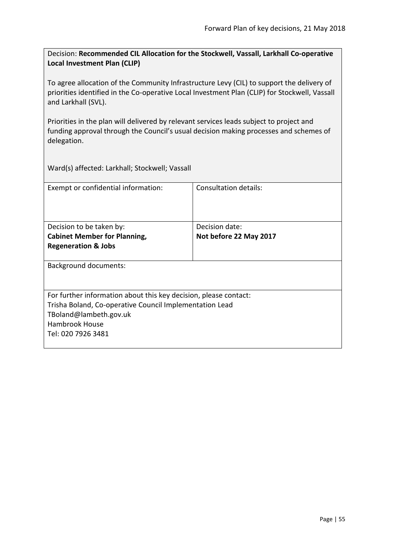Decision: **Recommended CIL Allocation for the Stockwell, Vassall, Larkhall Co-operative Local Investment Plan (CLIP)**

To agree allocation of the Community Infrastructure Levy (CIL) to support the delivery of priorities identified in the Co-operative Local Investment Plan (CLIP) for Stockwell, Vassall and Larkhall (SVL).

Priorities in the plan will delivered by relevant services leads subject to project and funding approval through the Council's usual decision making processes and schemes of delegation.

Ward(s) affected: Larkhall; Stockwell; Vassall

| Exempt or confidential information:                                                                                                                                                           | Consultation details:                    |
|-----------------------------------------------------------------------------------------------------------------------------------------------------------------------------------------------|------------------------------------------|
| Decision to be taken by:<br><b>Cabinet Member for Planning,</b>                                                                                                                               | Decision date:<br>Not before 22 May 2017 |
| <b>Regeneration &amp; Jobs</b>                                                                                                                                                                |                                          |
| <b>Background documents:</b>                                                                                                                                                                  |                                          |
| For further information about this key decision, please contact:<br>Trisha Boland, Co-operative Council Implementation Lead<br>TBoland@lambeth.gov.uk<br>Hambrook House<br>Tel: 020 7926 3481 |                                          |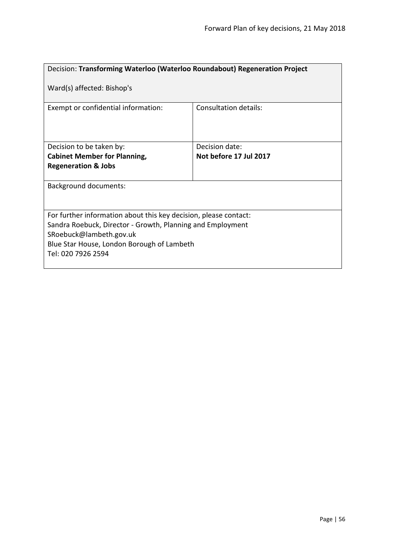| Decision: Transforming Waterloo (Waterloo Roundabout) Regeneration Project                                                                                                                                                    |                              |  |
|-------------------------------------------------------------------------------------------------------------------------------------------------------------------------------------------------------------------------------|------------------------------|--|
| Ward(s) affected: Bishop's                                                                                                                                                                                                    |                              |  |
| Exempt or confidential information:                                                                                                                                                                                           | <b>Consultation details:</b> |  |
| Decision to be taken by:                                                                                                                                                                                                      | Decision date:               |  |
| <b>Cabinet Member for Planning,</b>                                                                                                                                                                                           | Not before 17 Jul 2017       |  |
| <b>Regeneration &amp; Jobs</b>                                                                                                                                                                                                |                              |  |
| <b>Background documents:</b>                                                                                                                                                                                                  |                              |  |
| For further information about this key decision, please contact:<br>Sandra Roebuck, Director - Growth, Planning and Employment<br>SRoebuck@lambeth.gov.uk<br>Blue Star House, London Borough of Lambeth<br>Tel: 020 7926 2594 |                              |  |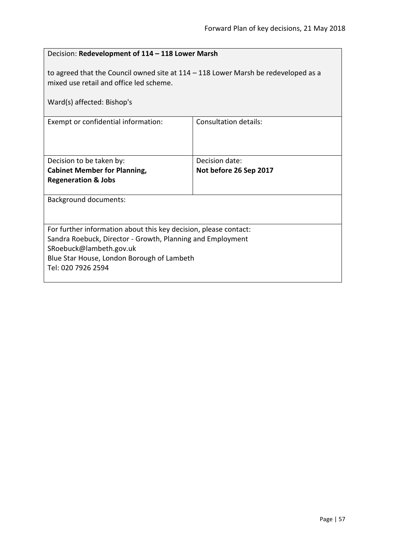| Decision: Redevelopment of 114 - 118 Lower Marsh                                                                                                                                                                              |                        |  |
|-------------------------------------------------------------------------------------------------------------------------------------------------------------------------------------------------------------------------------|------------------------|--|
| to agreed that the Council owned site at $114 - 118$ Lower Marsh be redeveloped as a<br>mixed use retail and office led scheme.<br>Ward(s) affected: Bishop's                                                                 |                        |  |
| <b>Consultation details:</b><br>Exempt or confidential information:                                                                                                                                                           |                        |  |
|                                                                                                                                                                                                                               |                        |  |
| Decision to be taken by:                                                                                                                                                                                                      | Decision date:         |  |
| <b>Cabinet Member for Planning,</b>                                                                                                                                                                                           | Not before 26 Sep 2017 |  |
| <b>Regeneration &amp; Jobs</b>                                                                                                                                                                                                |                        |  |
| <b>Background documents:</b>                                                                                                                                                                                                  |                        |  |
| For further information about this key decision, please contact:<br>Sandra Roebuck, Director - Growth, Planning and Employment<br>SRoebuck@lambeth.gov.uk<br>Blue Star House, London Borough of Lambeth<br>Tel: 020 7926 2594 |                        |  |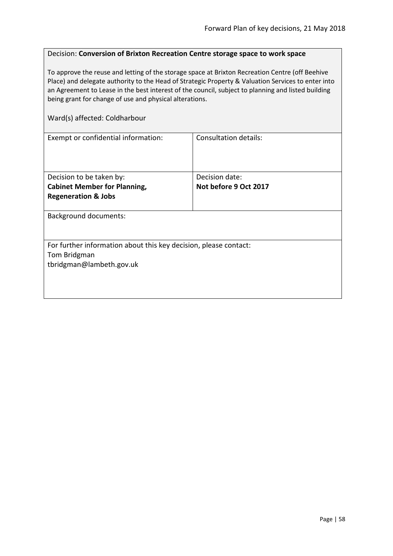### Decision: **Conversion of Brixton Recreation Centre storage space to work space**

To approve the reuse and letting of the storage space at Brixton Recreation Centre (off Beehive Place) and delegate authority to the Head of Strategic Property & Valuation Services to enter into an Agreement to Lease in the best interest of the council, subject to planning and listed building being grant for change of use and physical alterations.

#### Ward(s) affected: Coldharbour

| Exempt or confidential information:                              | Consultation details: |  |
|------------------------------------------------------------------|-----------------------|--|
|                                                                  |                       |  |
|                                                                  |                       |  |
|                                                                  |                       |  |
| Decision to be taken by:                                         | Decision date:        |  |
| <b>Cabinet Member for Planning,</b>                              | Not before 9 Oct 2017 |  |
| <b>Regeneration &amp; Jobs</b>                                   |                       |  |
|                                                                  |                       |  |
| <b>Background documents:</b>                                     |                       |  |
|                                                                  |                       |  |
|                                                                  |                       |  |
| For further information about this key decision, please contact: |                       |  |
| Tom Bridgman                                                     |                       |  |
| tbridgman@lambeth.gov.uk                                         |                       |  |
|                                                                  |                       |  |
|                                                                  |                       |  |
|                                                                  |                       |  |
|                                                                  |                       |  |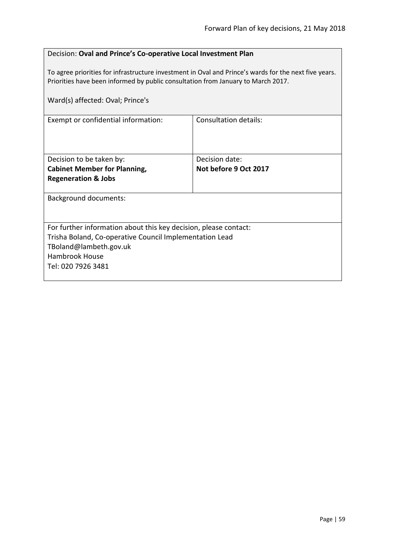### Decision: **Oval and Prince's Co-operative Local Investment Plan**

To agree priorities for infrastructure investment in Oval and Prince's wards for the next five years. Priorities have been informed by public consultation from January to March 2017.

| Ward(s) affected: Oval; Prince's                                 |                       |  |
|------------------------------------------------------------------|-----------------------|--|
| Exempt or confidential information:                              | Consultation details: |  |
| Decision to be taken by:                                         | Decision date:        |  |
| <b>Cabinet Member for Planning,</b>                              | Not before 9 Oct 2017 |  |
| <b>Regeneration &amp; Jobs</b>                                   |                       |  |
| <b>Background documents:</b>                                     |                       |  |
| For further information about this key decision, please contact: |                       |  |
| Trisha Boland, Co-operative Council Implementation Lead          |                       |  |
| TBoland@lambeth.gov.uk                                           |                       |  |
| <b>Hambrook House</b>                                            |                       |  |
| Tel: 020 7926 3481                                               |                       |  |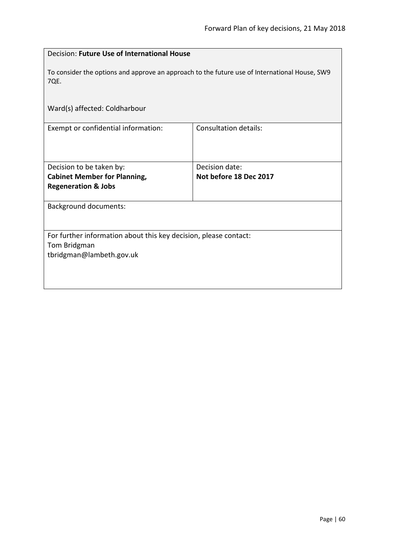| Decision: Future Use of International House                                                           |                        |  |
|-------------------------------------------------------------------------------------------------------|------------------------|--|
| To consider the options and approve an approach to the future use of International House, SW9<br>7QE. |                        |  |
| Ward(s) affected: Coldharbour                                                                         |                        |  |
| Exempt or confidential information:                                                                   | Consultation details:  |  |
| Decision to be taken by:                                                                              | Decision date:         |  |
| <b>Cabinet Member for Planning,</b>                                                                   | Not before 18 Dec 2017 |  |
| <b>Regeneration &amp; Jobs</b>                                                                        |                        |  |
| <b>Background documents:</b>                                                                          |                        |  |
| For further information about this key decision, please contact:                                      |                        |  |
| Tom Bridgman                                                                                          |                        |  |
| tbridgman@lambeth.gov.uk                                                                              |                        |  |
|                                                                                                       |                        |  |
|                                                                                                       |                        |  |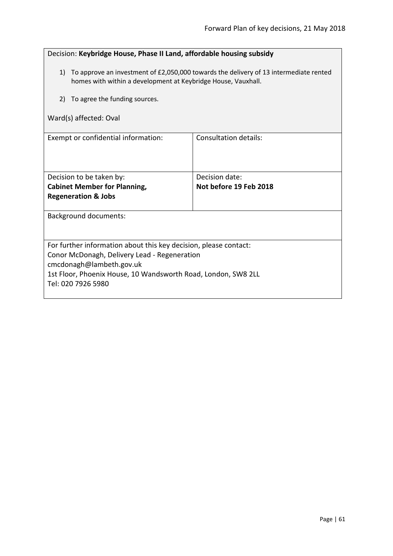| Decision: Keybridge House, Phase II Land, affordable housing subsidy                                                                                      |                              |  |
|-----------------------------------------------------------------------------------------------------------------------------------------------------------|------------------------------|--|
| 1) To approve an investment of £2,050,000 towards the delivery of 13 intermediate rented<br>homes with within a development at Keybridge House, Vauxhall. |                              |  |
| To agree the funding sources.<br>2)                                                                                                                       |                              |  |
| Ward(s) affected: Oval                                                                                                                                    |                              |  |
| Exempt or confidential information:                                                                                                                       | <b>Consultation details:</b> |  |
| Decision to be taken by:                                                                                                                                  | Decision date:               |  |
| <b>Cabinet Member for Planning,</b><br><b>Regeneration &amp; Jobs</b>                                                                                     | Not before 19 Feb 2018       |  |
| Background documents:                                                                                                                                     |                              |  |
| For further information about this key decision, please contact:                                                                                          |                              |  |
| Conor McDonagh, Delivery Lead - Regeneration<br>cmcdonagh@lambeth.gov.uk                                                                                  |                              |  |
| 1st Floor, Phoenix House, 10 Wandsworth Road, London, SW8 2LL<br>Tel: 020 7926 5980                                                                       |                              |  |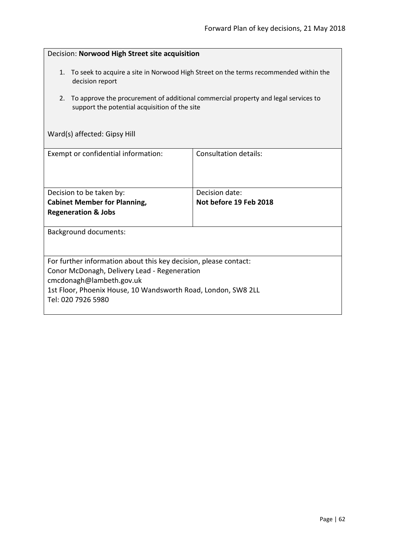| Decision: Norwood High Street site acquisition                                                                                                                                                                                                             |                                          |  |
|------------------------------------------------------------------------------------------------------------------------------------------------------------------------------------------------------------------------------------------------------------|------------------------------------------|--|
| To seek to acquire a site in Norwood High Street on the terms recommended within the<br>1.<br>decision report<br>To approve the procurement of additional commercial property and legal services to<br>2.<br>support the potential acquisition of the site |                                          |  |
| Ward(s) affected: Gipsy Hill                                                                                                                                                                                                                               |                                          |  |
| Exempt or confidential information:                                                                                                                                                                                                                        | Consultation details:                    |  |
| Decision to be taken by:<br><b>Cabinet Member for Planning,</b>                                                                                                                                                                                            | Decision date:<br>Not before 19 Feb 2018 |  |
| <b>Regeneration &amp; Jobs</b>                                                                                                                                                                                                                             |                                          |  |
| <b>Background documents:</b>                                                                                                                                                                                                                               |                                          |  |
| For further information about this key decision, please contact:<br>Conor McDonagh, Delivery Lead - Regeneration<br>cmcdonagh@lambeth.gov.uk<br>1st Floor, Phoenix House, 10 Wandsworth Road, London, SW8 2LL<br>Tel: 020 7926 5980                        |                                          |  |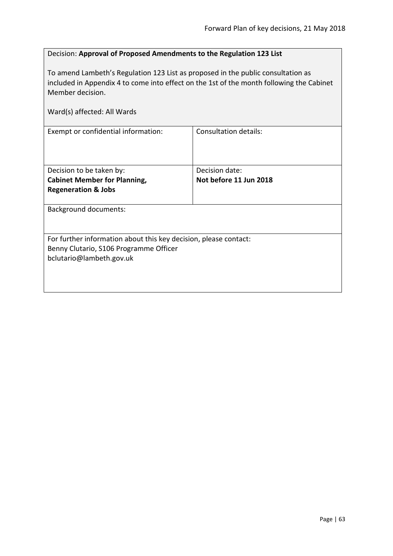# Decision: **Approval of Proposed Amendments to the Regulation 123 List**

To amend Lambeth's Regulation 123 List as proposed in the public consultation as included in Appendix 4 to come into effect on the 1st of the month following the Cabinet Member decision.

| Ward(s) affected: All Wards                                                                                                            |                                          |  |
|----------------------------------------------------------------------------------------------------------------------------------------|------------------------------------------|--|
| Exempt or confidential information:                                                                                                    | Consultation details:                    |  |
| Decision to be taken by:<br><b>Cabinet Member for Planning,</b><br><b>Regeneration &amp; Jobs</b>                                      | Decision date:<br>Not before 11 Jun 2018 |  |
| <b>Background documents:</b>                                                                                                           |                                          |  |
| For further information about this key decision, please contact:<br>Benny Clutario, S106 Programme Officer<br>bclutario@lambeth.gov.uk |                                          |  |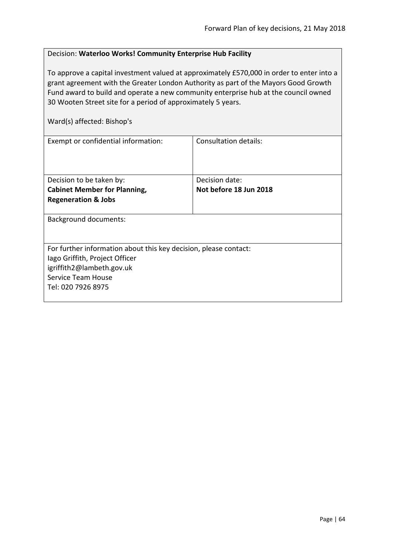# Decision: **Waterloo Works! Community Enterprise Hub Facility**

To approve a capital investment valued at approximately £570,000 in order to enter into a grant agreement with the Greater London Authority as part of the Mayors Good Growth Fund award to build and operate a new community enterprise hub at the council owned 30 Wooten Street site for a period of approximately 5 years.

| Ward(s) affected: Bishop's                                       |                              |  |
|------------------------------------------------------------------|------------------------------|--|
| Exempt or confidential information:                              | <b>Consultation details:</b> |  |
| Decision to be taken by:                                         | Decision date:               |  |
| <b>Cabinet Member for Planning,</b>                              | Not before 18 Jun 2018       |  |
| <b>Regeneration &amp; Jobs</b>                                   |                              |  |
|                                                                  |                              |  |
| <b>Background documents:</b>                                     |                              |  |
|                                                                  |                              |  |
| For further information about this key decision, please contact: |                              |  |
| lago Griffith, Project Officer                                   |                              |  |
| igriffith2@lambeth.gov.uk                                        |                              |  |
| Service Team House                                               |                              |  |
| Tel: 020 7926 8975                                               |                              |  |
|                                                                  |                              |  |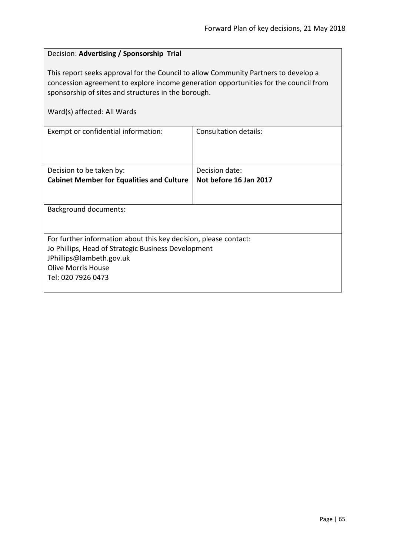# Decision: **Advertising / Sponsorship Trial**

This report seeks approval for the Council to allow Community Partners to develop a concession agreement to explore income generation opportunities for the council from sponsorship of sites and structures in the borough.

|  | Ward(s) affected: All Wards |  |  |
|--|-----------------------------|--|--|
|--|-----------------------------|--|--|

| Exempt or confidential information:                              | Consultation details:  |  |
|------------------------------------------------------------------|------------------------|--|
| Decision to be taken by:                                         | Decision date:         |  |
| <b>Cabinet Member for Equalities and Culture</b>                 | Not before 16 Jan 2017 |  |
|                                                                  |                        |  |
| Background documents:                                            |                        |  |
| For further information about this key decision, please contact: |                        |  |
| Jo Phillips, Head of Strategic Business Development              |                        |  |
| JPhillips@lambeth.gov.uk                                         |                        |  |
| Olive Morris House                                               |                        |  |
| Tel: 020 7926 0473                                               |                        |  |
|                                                                  |                        |  |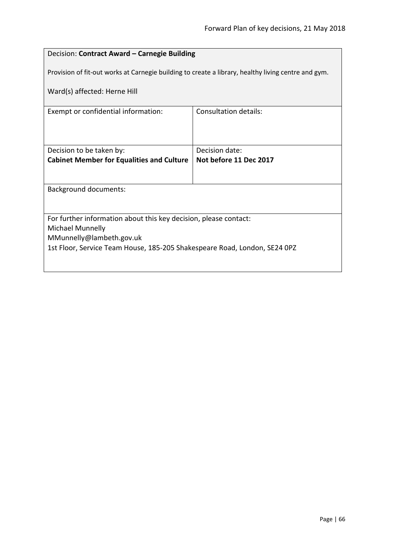# Decision: **Contract Award – Carnegie Building**

Provision of fit-out works at Carnegie building to create a library, healthy living centre and gym.

Ward(s) affected: Herne Hill

| Exempt or confidential information:                                       | Consultation details:  |  |
|---------------------------------------------------------------------------|------------------------|--|
|                                                                           |                        |  |
|                                                                           |                        |  |
|                                                                           |                        |  |
|                                                                           | Decision date:         |  |
| Decision to be taken by:                                                  |                        |  |
| <b>Cabinet Member for Equalities and Culture</b>                          | Not before 11 Dec 2017 |  |
|                                                                           |                        |  |
|                                                                           |                        |  |
| <b>Background documents:</b>                                              |                        |  |
|                                                                           |                        |  |
|                                                                           |                        |  |
|                                                                           |                        |  |
| For further information about this key decision, please contact:          |                        |  |
| Michael Munnelly                                                          |                        |  |
| MMunnelly@lambeth.gov.uk                                                  |                        |  |
|                                                                           |                        |  |
| 1st Floor, Service Team House, 185-205 Shakespeare Road, London, SE24 0PZ |                        |  |
|                                                                           |                        |  |
|                                                                           |                        |  |
|                                                                           |                        |  |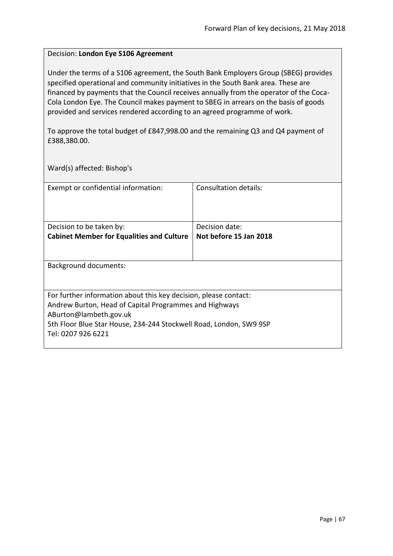### Decision: **London Eye S106 Agreement**

Under the terms of a S106 agreement, the South Bank Employers Group (SBEG) provides specified operational and community initiatives in the South Bank area. These are financed by payments that the Council receives annually from the operator of the Coca-Cola London Eye. The Council makes payment to SBEG in arrears on the basis of goods provided and services rendered according to an agreed programme of work.

To approve the total budget of £847,998.00 and the remaining Q3 and Q4 payment of £388,380.00.

Ward(s) affected: Bishop's

| Exempt or confidential information:                                                          | Consultation details:  |
|----------------------------------------------------------------------------------------------|------------------------|
| Decision to be taken by:                                                                     | Decision date:         |
| <b>Cabinet Member for Equalities and Culture</b>                                             | Not before 15 Jan 2018 |
|                                                                                              |                        |
| Background documents:                                                                        |                        |
| For further information about this key decision, please contact:                             |                        |
| Andrew Burton, Head of Capital Programmes and Highways                                       |                        |
| ABurton@lambeth.gov.uk<br>5th Floor Blue Star House, 234-244 Stockwell Road, London, SW9 9SP |                        |
| Tel: 0207 926 6221                                                                           |                        |
|                                                                                              |                        |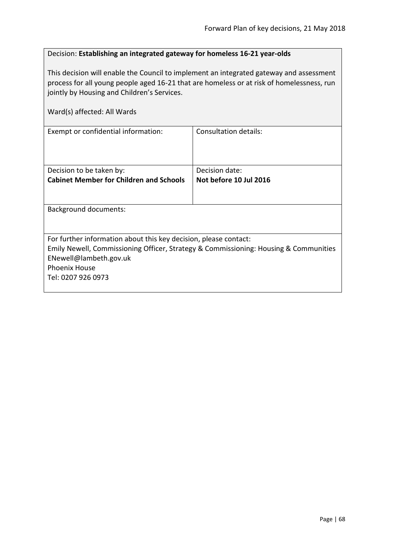## Decision: **Establishing an integrated gateway for homeless 16-21 year-olds**

This decision will enable the Council to implement an integrated gateway and assessment process for all young people aged 16-21 that are homeless or at risk of homelessness, run jointly by Housing and Children's Services.

| Ward(s) affected: All Wards                                                                                                                                                                                                      |                              |
|----------------------------------------------------------------------------------------------------------------------------------------------------------------------------------------------------------------------------------|------------------------------|
| Exempt or confidential information:                                                                                                                                                                                              | <b>Consultation details:</b> |
| Decision to be taken by:                                                                                                                                                                                                         | Decision date:               |
| <b>Cabinet Member for Children and Schools</b>                                                                                                                                                                                   | Not before 10 Jul 2016       |
| Background documents:                                                                                                                                                                                                            |                              |
| For further information about this key decision, please contact:<br>Emily Newell, Commissioning Officer, Strategy & Commissioning: Housing & Communities<br>ENewell@lambeth.gov.uk<br><b>Phoenix House</b><br>Tel: 0207 926 0973 |                              |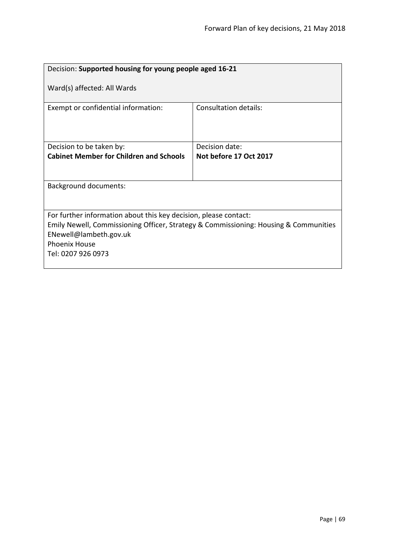| Decision: Supported housing for young people aged 16-21                                                                                                                                                                          |                        |  |
|----------------------------------------------------------------------------------------------------------------------------------------------------------------------------------------------------------------------------------|------------------------|--|
| Ward(s) affected: All Wards                                                                                                                                                                                                      |                        |  |
| Exempt or confidential information:                                                                                                                                                                                              | Consultation details:  |  |
| Decision to be taken by:                                                                                                                                                                                                         | Decision date:         |  |
| <b>Cabinet Member for Children and Schools</b>                                                                                                                                                                                   | Not before 17 Oct 2017 |  |
|                                                                                                                                                                                                                                  |                        |  |
| <b>Background documents:</b>                                                                                                                                                                                                     |                        |  |
|                                                                                                                                                                                                                                  |                        |  |
| For further information about this key decision, please contact:<br>Emily Newell, Commissioning Officer, Strategy & Commissioning: Housing & Communities<br>ENewell@lambeth.gov.uk<br><b>Phoenix House</b><br>Tel: 0207 926 0973 |                        |  |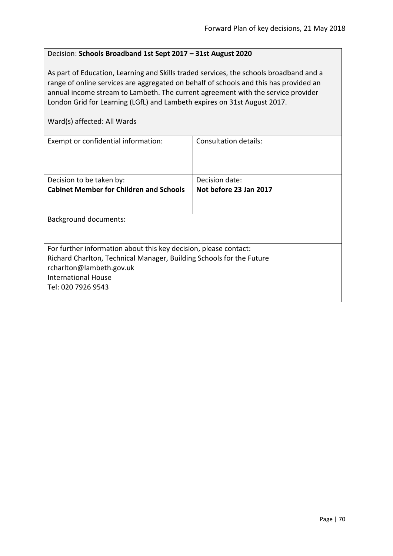### Decision: **Schools Broadband 1st Sept 2017 – 31st August 2020**

As part of Education, Learning and Skills traded services, the schools broadband and a range of online services are aggregated on behalf of schools and this has provided an annual income stream to Lambeth. The current agreement with the service provider London Grid for Learning (LGfL) and Lambeth expires on 31st August 2017.

| Exempt or confidential information:                                                                                                                                                                                      | Consultation details:  |
|--------------------------------------------------------------------------------------------------------------------------------------------------------------------------------------------------------------------------|------------------------|
| Decision to be taken by:                                                                                                                                                                                                 | Decision date:         |
| <b>Cabinet Member for Children and Schools</b>                                                                                                                                                                           | Not before 23 Jan 2017 |
|                                                                                                                                                                                                                          |                        |
| Background documents:                                                                                                                                                                                                    |                        |
| For further information about this key decision, please contact:<br>Richard Charlton, Technical Manager, Building Schools for the Future<br>rcharlton@lambeth.gov.uk<br><b>International House</b><br>Tel: 020 7926 9543 |                        |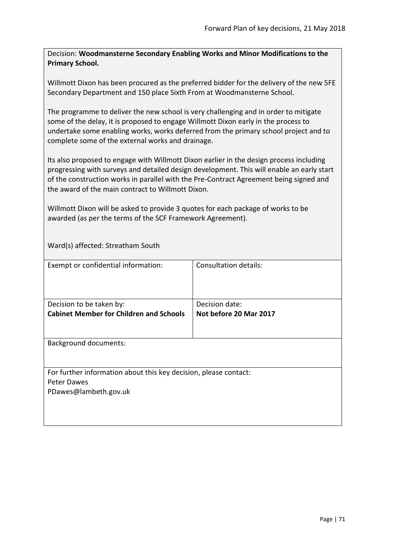Decision: **Woodmansterne Secondary Enabling Works and Minor Modifications to the Primary School.**

Willmott Dixon has been procured as the preferred bidder for the delivery of the new 5FE Secondary Department and 150 place Sixth From at Woodmansterne School.

The programme to deliver the new school is very challenging and in order to mitigate some of the delay, it is proposed to engage Willmott Dixon early in the process to undertake some enabling works, works deferred from the primary school project and to complete some of the external works and drainage.

Its also proposed to engage with Willmott Dixon earlier in the design process including progressing with surveys and detailed design development. This will enable an early start of the construction works in parallel with the Pre-Contract Agreement being signed and the award of the main contract to Willmott Dixon.

Willmott Dixon will be asked to provide 3 quotes for each package of works to be awarded (as per the terms of the SCF Framework Agreement).

Ward(s) affected: Streatham South

| Exempt or confidential information:                                                                      | Consultation details:                    |
|----------------------------------------------------------------------------------------------------------|------------------------------------------|
| Decision to be taken by:<br><b>Cabinet Member for Children and Schools</b>                               | Decision date:<br>Not before 20 Mar 2017 |
| <b>Background documents:</b>                                                                             |                                          |
| For further information about this key decision, please contact:<br>Peter Dawes<br>PDawes@lambeth.gov.uk |                                          |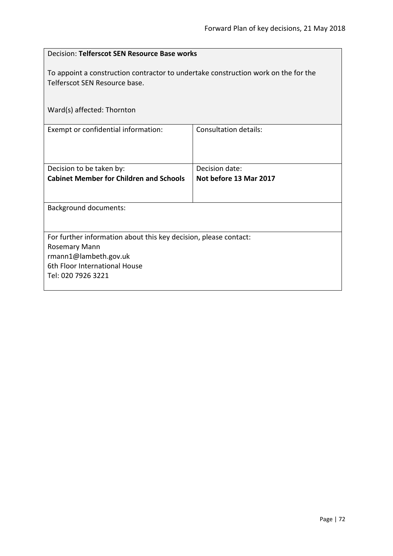| Decision: Telferscot SEN Resource Base works                                                                        |                        |
|---------------------------------------------------------------------------------------------------------------------|------------------------|
| To appoint a construction contractor to undertake construction work on the for the<br>Telferscot SEN Resource base. |                        |
| Ward(s) affected: Thornton                                                                                          |                        |
| Exempt or confidential information:                                                                                 | Consultation details:  |
| Decision to be taken by:                                                                                            | Decision date:         |
| <b>Cabinet Member for Children and Schools</b>                                                                      | Not before 13 Mar 2017 |
| <b>Background documents:</b>                                                                                        |                        |
| For further information about this key decision, please contact:                                                    |                        |
| Rosemary Mann<br>rmann1@lambeth.gov.uk                                                                              |                        |
| 6th Floor International House                                                                                       |                        |
| Tel: 020 7926 3221                                                                                                  |                        |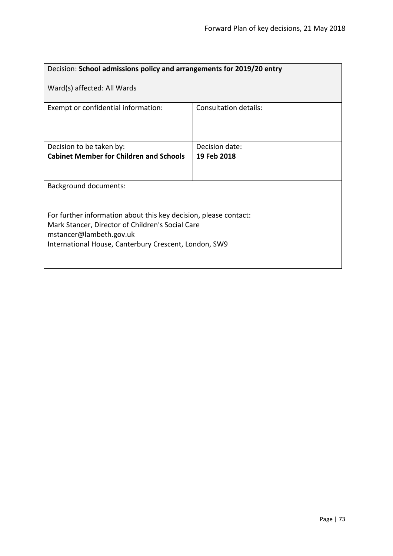| Decision: School admissions policy and arrangements for 2019/20 entry                                                                                                                                    |                              |  |
|----------------------------------------------------------------------------------------------------------------------------------------------------------------------------------------------------------|------------------------------|--|
| Ward(s) affected: All Wards                                                                                                                                                                              |                              |  |
| Exempt or confidential information:                                                                                                                                                                      | <b>Consultation details:</b> |  |
| Decision to be taken by:                                                                                                                                                                                 | Decision date:               |  |
| <b>Cabinet Member for Children and Schools</b>                                                                                                                                                           | 19 Feb 2018                  |  |
| Background documents:                                                                                                                                                                                    |                              |  |
| For further information about this key decision, please contact:<br>Mark Stancer, Director of Children's Social Care<br>mstancer@lambeth.gov.uk<br>International House, Canterbury Crescent, London, SW9 |                              |  |